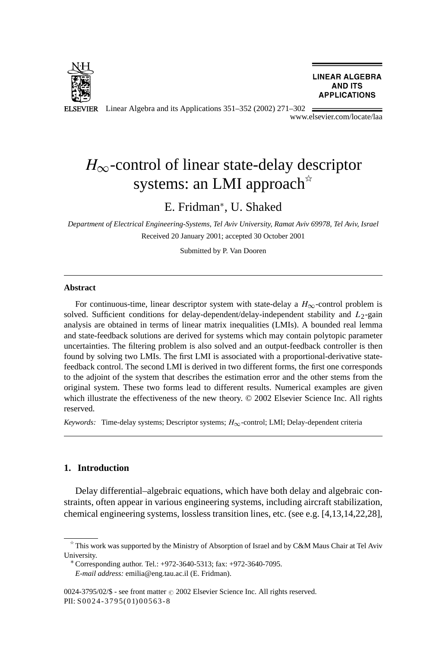

**LINEAR ALGEBRA AND ITS APPLICATIONS** 

ELSEVIER Linear Algebra and its Applications 351–352 (2002) 271–302

www.elsevier.com/locate/laa

# *H*<sub>∞</sub>-control of linear state-delay descriptor systems: an LMI approach<sup>\*</sup>

## E. Fridman<sup>∗</sup> , U. Shaked

*Department of Electrical Engineering-Systems, Tel Aviv University, Ramat Aviv 69978, Tel Aviv, Israel* Received 20 January 2001; accepted 30 October 2001

Submitted by P. Van Dooren

#### **Abstract**

For continuous-time, linear descriptor system with state-delay a  $H_{\infty}$ -control problem is solved. Sufficient conditions for delay-dependent/delay-independent stability and *L*2-gain analysis are obtained in terms of linear matrix inequalities (LMIs). A bounded real lemma and state-feedback solutions are derived for systems which may contain polytopic parameter uncertainties. The filtering problem is also solved and an output-feedback controller is then found by solving two LMIs. The first LMI is associated with a proportional-derivative statefeedback control. The second LMI is derived in two different forms, the first one corresponds to the adjoint of the system that describes the estimation error and the other stems from the original system. These two forms lead to different results. Numerical examples are given which illustrate the effectiveness of the new theory. © 2002 Elsevier Science Inc. All rights reserved.

*Keywords:* Time-delay systems; Descriptor systems; *H*∞-control; LMI; Delay-dependent criteria

## **1. Introduction**

Delay differential–algebraic equations, which have both delay and algebraic constraints, often appear in various engineering systems, including aircraft stabilization, chemical engineering systems, lossless transition lines, etc. (see e.g. [4,13,14,22,28],

 $*$  This work was supported by the Ministry of Absorption of Israel and by C&M Maus Chair at Tel Aviv University. <sup>∗</sup> Corresponding author. Tel.: +972-3640-5313; fax: +972-3640-7095.

*E-mail address:* emilia@eng.tau.ac.il (E. Fridman).

<sup>0024-3795/02/\$ -</sup> see front matter  $\odot$  2002 Elsevier Science Inc. All rights reserved. PII: S0024-3795(01) 00563-8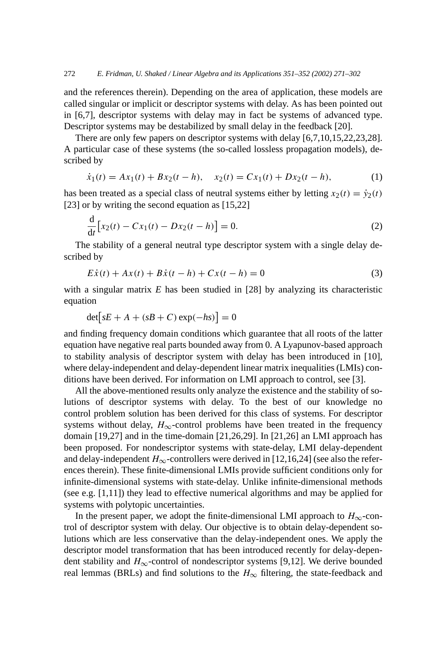and the references therein). Depending on the area of application, these models are called singular or implicit or descriptor systems with delay. As has been pointed out in [6,7], descriptor systems with delay may in fact be systems of advanced type. Descriptor systems may be destabilized by small delay in the feedback [20].

There are only few papers on descriptor systems with delay [6,7,10,15,22,23,28]. A particular case of these systems (the so-called lossless propagation models), described by

$$
\dot{x}_1(t) = Ax_1(t) + Bx_2(t - h), \quad x_2(t) = Cx_1(t) + Dx_2(t - h), \tag{1}
$$

has been treated as a special class of neutral systems either by letting  $x_2(t) = \dot{y}_2(t)$ [23] or by writing the second equation as [15,22]

$$
\frac{d}{dt} [x_2(t) - Cx_1(t) - Dx_2(t - h)] = 0.
$$
\n(2)

The stability of a general neutral type descriptor system with a single delay described by

$$
E\dot{x}(t) + Ax(t) + B\dot{x}(t-h) + Cx(t-h) = 0
$$
\n(3)

with a singular matrix *E* has been studied in [28] by analyzing its characteristic equation

$$
\det[sE + A + (sB + C)\exp(-hs)] = 0
$$

and finding frequency domain conditions which guarantee that all roots of the latter equation have negative real parts bounded away from 0. A Lyapunov-based approach to stability analysis of descriptor system with delay has been introduced in [10], where delay-independent and delay-dependent linear matrix inequalities (LMIs) conditions have been derived. For information on LMI approach to control, see [3].

All the above-mentioned results only analyze the existence and the stability of solutions of descriptor systems with delay. To the best of our knowledge no control problem solution has been derived for this class of systems. For descriptor systems without delay,  $H_{\infty}$ -control problems have been treated in the frequency domain [19,27] and in the time-domain [21,26,29]. In [21,26] an LMI approach has been proposed. For nondescriptor systems with state-delay, LMI delay-dependent and delay-independent  $H_{\infty}$ -controllers were derived in [12,16,24] (see also the references therein). These finite-dimensional LMIs provide sufficient conditions only for infinite-dimensional systems with state-delay. Unlike infinite-dimensional methods (see e.g. [1,11]) they lead to effective numerical algorithms and may be applied for systems with polytopic uncertainties.

In the present paper, we adopt the finite-dimensional LMI approach to  $H_{\infty}$ -control of descriptor system with delay. Our objective is to obtain delay-dependent solutions which are less conservative than the delay-independent ones. We apply the descriptor model transformation that has been introduced recently for delay-dependent stability and  $H_{\infty}$ -control of nondescriptor systems [9,12]. We derive bounded real lemmas (BRLs) and find solutions to the  $H_{\infty}$  filtering, the state-feedback and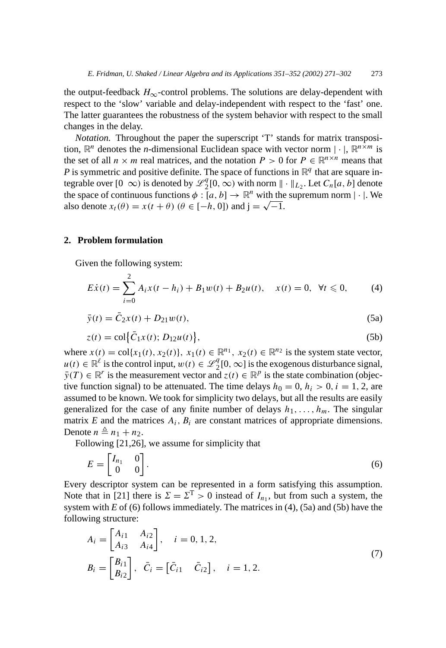the output-feedback  $H_{\infty}$ -control problems. The solutions are delay-dependent with respect to the 'slow' variable and delay-independent with respect to the 'fast' one. The latter guarantees the robustness of the system behavior with respect to the small changes in the delay.

*Notation.* Throughout the paper the superscript 'T' stands for matrix transposition,  $\mathbb{R}^n$  denotes the *n*-dimensional Euclidean space with vector norm  $|\cdot|$ ,  $\mathbb{R}^{n \times m}$  is the set of all  $n \times m$  real matrices, and the notation  $P > 0$  for  $P \in \mathbb{R}^{n \times n}$  means that *P* is symmetric and positive definite. The space of functions in  $\mathbb{R}^q$  that are square integrable over  $[0 \infty)$  is denoted by  $\mathcal{L}_2^q[0,\infty)$  with norm  $\|\cdot\|_{L_2}$ . Let  $C_n[a,b]$  denote the space of continuous functions  $\phi : [a, b] \to \mathbb{R}^n$  with the supremum norm  $|\cdot|$ . We also denote  $x_t(\theta) = x(t + \theta)$  ( $\theta \in [-h, 0]$ ) and  $\mathbf{i} = \sqrt{-1}$ .

## **2. Problem formulation**

Given the following system:

$$
E\dot{x}(t) = \sum_{i=0}^{2} A_i x(t - h_i) + B_1 w(t) + B_2 u(t), \quad x(t) = 0, \ \forall t \leq 0,
$$
 (4)

$$
\bar{y}(t) = \bar{C}_2 x(t) + D_{21} w(t),
$$
\n(5a)

$$
z(t) = \text{col}\{\bar{C}_1 x(t); D_{12} u(t)\},\tag{5b}
$$

where  $x(t) = \text{col}\{x_1(t), x_2(t)\}\$ ,  $x_1(t) \in \mathbb{R}^{n_1}$ ,  $x_2(t) \in \mathbb{R}^{n_2}$  is the system state vector,  $u(t) \in \mathbb{R}^l$  is the control input,  $w(t) \in \mathcal{L}_2^q[0,\infty]$  is the exogenous disturbance signal,  $\bar{y}(T) \in \mathbb{R}^r$  is the measurement vector and  $z(t) \in \mathbb{R}^p$  is the state combination (objective function signal) to be attenuated. The time delays  $h_0 = 0$ ,  $h_i > 0$ ,  $i = 1, 2$ , are assumed to be known. We took for simplicity two delays, but all the results are easily generalized for the case of any finite number of delays  $h_1, \ldots, h_m$ . The singular matrix  $E$  and the matrices  $A_i$ ,  $B_i$  are constant matrices of appropriate dimensions. Denote  $n \triangleq n_1 + n_2$ .

Following [21,26], we assume for simplicity that

$$
E = \begin{bmatrix} I_{n_1} & 0 \\ 0 & 0 \end{bmatrix} . \tag{6}
$$

Every descriptor system can be represented in a form satisfying this assumption. Note that in [21] there is  $\Sigma = \Sigma^T > 0$  instead of  $I_{n_1}$ , but from such a system, the system with *E* of (6) follows immediately. The matrices in (4), (5a) and (5b) have the following structure:

$$
A_{i} = \begin{bmatrix} A_{i1} & A_{i2} \\ A_{i3} & A_{i4} \end{bmatrix}, \quad i = 0, 1, 2,
$$
  
\n
$$
B_{i} = \begin{bmatrix} B_{i1} \\ B_{i2} \end{bmatrix}, \quad \bar{C}_{i} = \begin{bmatrix} \bar{C}_{i1} & \bar{C}_{i2} \end{bmatrix}, \quad i = 1, 2.
$$
 (7)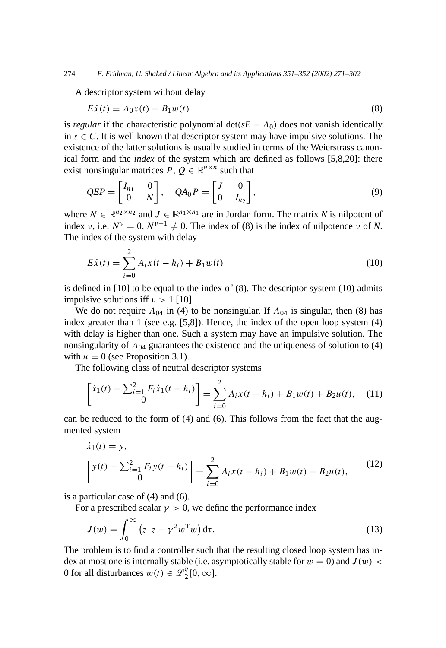A descriptor system without delay

$$
E\dot{x}(t) = A_0 x(t) + B_1 w(t)
$$
\n(8)

is *regular* if the characteristic polynomial  $\det(sE - A_0)$  does not vanish identically in  $s \in C$ . It is well known that descriptor system may have impulsive solutions. The existence of the latter solutions is usually studied in terms of the Weierstrass canonical form and the *index* of the system which are defined as follows [5,8,20]: there exist nonsingular matrices  $P, Q \in \mathbb{R}^{n \times n}$  such that

$$
QEP = \begin{bmatrix} I_{n_1} & 0 \\ 0 & N \end{bmatrix}, \quad QA_0P = \begin{bmatrix} J & 0 \\ 0 & I_{n_2} \end{bmatrix}, \tag{9}
$$

where  $N \in \mathbb{R}^{n_2 \times n_2}$  and  $J \in \mathbb{R}^{n_1 \times n_1}$  are in Jordan form. The matrix N is nilpotent of index *ν*, i.e.  $N^{\nu} = 0$ ,  $N^{\nu-1} \neq 0$ . The index of (8) is the index of nilpotence *ν* of *N*. The index of the system with delay

$$
E\dot{x}(t) = \sum_{i=0}^{2} A_i x(t - h_i) + B_1 w(t)
$$
\n(10)

is defined in [10] to be equal to the index of (8). The descriptor system (10) admits impulsive solutions iff  $\nu > 1$  [10].

We do not require  $A_{04}$  in (4) to be nonsingular. If  $A_{04}$  is singular, then (8) has index greater than 1 (see e.g. [5,8]). Hence, the index of the open loop system (4) with delay is higher than one. Such a system may have an impulsive solution. The nonsingularity of  $A_{04}$  guarantees the existence and the uniqueness of solution to (4) with  $u = 0$  (see Proposition 3.1).

The following class of neutral descriptor systems

$$
\begin{bmatrix} \dot{x}_1(t) - \sum_{i=1}^2 F_i \dot{x}_1(t - h_i) \\ 0 \end{bmatrix} = \sum_{i=0}^2 A_i x(t - h_i) + B_1 w(t) + B_2 u(t), \quad (11)
$$

can be reduced to the form of (4) and (6). This follows from the fact that the augmented system

$$
\dot{x}_1(t) = y,
$$
\n
$$
\begin{bmatrix}\ny(t) - \sum_{i=1}^{2} F_i y(t - h_i) \\
0\n\end{bmatrix} = \sum_{i=0}^{2} A_i x(t - h_i) + B_1 w(t) + B_2 u(t),
$$
\n(12)

is a particular case of (4) and (6).

For a prescribed scalar  $\gamma > 0$ , we define the performance index

$$
J(w) = \int_0^\infty (z^{\mathrm{T}} z - \gamma^2 w^{\mathrm{T}} w) \, \mathrm{d}\tau. \tag{13}
$$

The problem is to find a controller such that the resulting closed loop system has index at most one is internally stable (i.e. asymptotically stable for  $w = 0$ ) and  $J(w)$  < 0 for all disturbances  $w(t) \in \mathcal{L}_2^q[0, \infty]$ .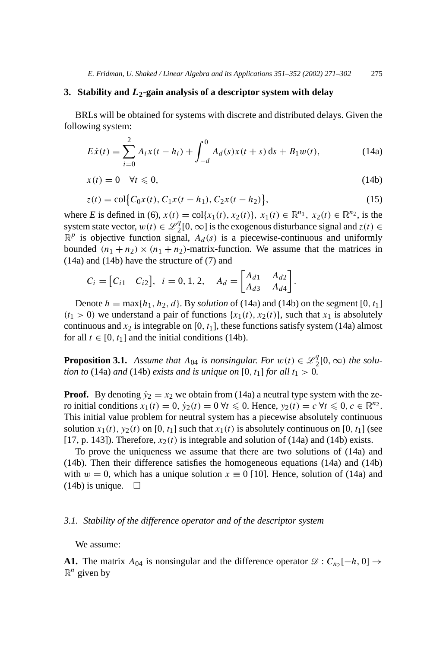## **3. Stability and** *L***2-gain analysis of a descriptor system with delay**

BRLs will be obtained for systems with discrete and distributed delays. Given the following system:

$$
E\dot{x}(t) = \sum_{i=0}^{2} A_i x(t - h_i) + \int_{-d}^{0} A_d(s)x(t + s) \, ds + B_1 w(t), \tag{14a}
$$

$$
x(t) = 0 \quad \forall t \leq 0,\tag{14b}
$$

$$
z(t) = \text{col}\big\{C_0x(t), C_1x(t - h_1), C_2x(t - h_2)\big\},\tag{15}
$$

where *E* is defined in (6),  $x(t) = \text{col}\{x_1(t), x_2(t)\}, x_1(t) \in \mathbb{R}^{n_1}, x_2(t) \in \mathbb{R}^{n_2}$ , is the system state vector,  $w(t) \in \mathcal{L}_2^q[0,\infty]$  is the exogenous disturbance signal and  $z(t) \in$  $\mathbb{R}^p$  is objective function signal,  $A_d(s)$  is a piecewise-continuous and uniformly bounded  $(n_1 + n_2) \times (n_1 + n_2)$ -matrix-function. We assume that the matrices in (14a) and (14b) have the structure of (7) and

$$
C_i = [C_{i1} \quad C_{i2}], \quad i = 0, 1, 2, \quad A_d = \begin{bmatrix} A_{d1} & A_{d2} \\ A_{d3} & A_{d4} \end{bmatrix}.
$$

Denote  $h = \max\{h_1, h_2, d\}$ . By *solution* of (14a) and (14b) on the segment [0,  $t_1$ ]  $(t_1 > 0)$  we understand a pair of functions  $\{x_1(t), x_2(t)\}$ , such that  $x_1$  is absolutely continuous and  $x_2$  is integrable on [0,  $t_1$ ], these functions satisfy system (14a) almost for all  $t \in [0, t_1]$  and the initial conditions (14b).

**Proposition 3.1.** *Assume that*  $A_{04}$  *is nonsingular. For*  $w(t) \in \mathcal{L}_2^q[0,\infty)$  *the solution to* (14a) *and* (14b) *exists and is unique on* [0,  $t_1$ ] *for all*  $t_1 > 0$ *.* 

**Proof.** By denoting  $\dot{y}_2 = x_2$  we obtain from (14a) a neutral type system with the zero initial conditions  $x_1(t) = 0$ ,  $\dot{y}_2(t) = 0$   $\forall t \leq 0$ . Hence,  $y_2(t) = c \forall t \leq 0$ ,  $c \in \mathbb{R}^{n_2}$ . This initial value problem for neutral system has a piecewise absolutely continuous solution  $x_1(t)$ ,  $y_2(t)$  on [0,  $t_1$ ] such that  $x_1(t)$  is absolutely continuous on [0,  $t_1$ ] (see [17, p. 143]). Therefore,  $x_2(t)$  is integrable and solution of (14a) and (14b) exists.

To prove the uniqueness we assume that there are two solutions of (14a) and (14b). Then their difference satisfies the homogeneous equations (14a) and (14b) with  $w = 0$ , which has a unique solution  $x \equiv 0$  [10]. Hence, solution of (14a) and  $(14b)$  is unique.  $\Box$ 

#### *3.1. Stability of the difference operator and of the descriptor system*

We assume:

**A1.** The matrix  $A_{04}$  is nonsingular and the difference operator  $\mathcal{D}: C_{n2}[-h, 0] \rightarrow$  $\mathbb{R}^n$  given by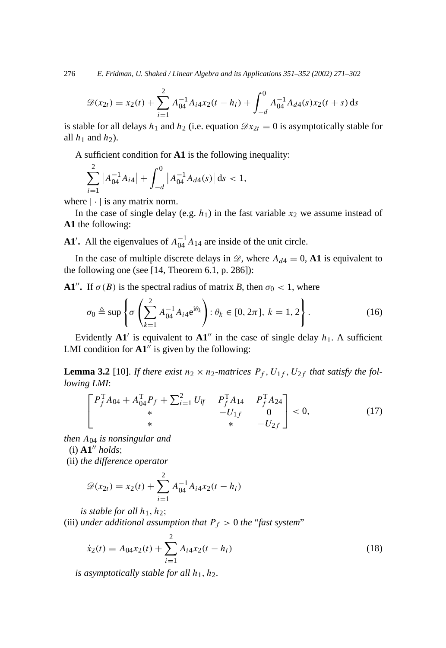276 *E. Fridman, U. Shaked / Linear Algebra and its Applications 351–352 (2002) 271–302*

$$
\mathcal{D}(x_{2t}) = x_2(t) + \sum_{i=1}^2 A_{04}^{-1} A_{i4} x_2(t - h_i) + \int_{-d}^0 A_{04}^{-1} A_{d4}(s) x_2(t + s) \, \mathrm{d}s
$$

is stable for all delays  $h_1$  and  $h_2$  (i.e. equation  $\mathscr{D}x_{2t} = 0$  is asymptotically stable for all  $h_1$  and  $h_2$ ).

A sufficient condition for **A1** is the following inequality:

$$
\sum_{i=1}^{2} |A_{04}^{-1}A_{i4}| + \int_{-d}^{0} |A_{04}^{-1}A_{d4}(s)| ds < 1,
$$

where  $|\cdot|$  is any matrix norm.

In the case of single delay (e.g.  $h_1$ ) in the fast variable  $x_2$  we assume instead of **A1** the following:

**A1'**. All the eigenvalues of  $A_{04}^{-1}A_{14}$  are inside of the unit circle.

In the case of multiple discrete delays in  $\mathcal{D}$ , where  $A_{d4} = 0$ , **A1** is equivalent to the following one (see [14, Theorem 6.1, p. 286]):

**A1<sup>***n***</sup>. If**  $\sigma(B)$  **is the spectral radius of matrix** *B***, then**  $\sigma_0 < 1$ **, where** 

$$
\sigma_0 \triangleq \sup \left\{ \sigma \left( \sum_{k=1}^2 A_{04}^{-1} A_{i4} e^{i\theta_k} \right) : \theta_k \in [0, 2\pi], \ k = 1, 2 \right\}.
$$
 (16)

Evidently  $\mathbf{A1}'$  is equivalent to  $\mathbf{A1}''$  in the case of single delay  $h_1$ . A sufficient LMI condition for  $A1''$  is given by the following:

**Lemma 3.2** [10]. *If there exist*  $n_2 \times n_2$ -matrices  $P_f$ ,  $U_{1f}$ ,  $U_{2f}$  *that satisfy the following LMI*:

$$
\begin{bmatrix}\nP_f^{\mathrm{T}}A_{04} + A_{04}^{\mathrm{T}}P_f + \sum_{i=1}^2 U_{if} & P_f^{\mathrm{T}}A_{14} & P_f^{\mathrm{T}}A_{24} \\
* & -U_{1f} & 0 \\
* & * & -U_{2f}\n\end{bmatrix} < 0,\tag{17}
$$

*then A*<sup>04</sup> *is nonsingular and*

 $(i)$   $A1''$  *holds*;

(ii) *the difference operator*

$$
\mathscr{D}(x_{2t}) = x_2(t) + \sum_{i=1}^{2} A_{04}^{-1} A_{i4} x_2(t - h_i)
$$

*is stable for all*  $h_1$ ,  $h_2$ ;

(iii) *under additional assumption that*  $P_f > 0$  *the "fast system"* 

$$
\dot{x}_2(t) = A_{04}x_2(t) + \sum_{i=1}^{2} A_{i4}x_2(t - h_i)
$$
\n(18)

*is asymptotically stable for all h*1*, h*2*.*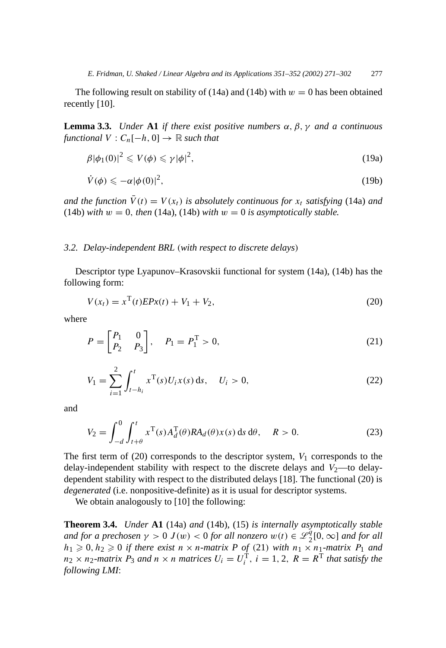The following result on stability of  $(14a)$  and  $(14b)$  with  $w = 0$  has been obtained recently [10].

**Lemma 3.3.** *Under* **A1** *if there exist positive numbers α, β, γ and a continuous functional*  $V: C_n[-h, 0] \rightarrow \mathbb{R}$  *such that* 

$$
\beta |\phi_1(0)|^2 \leqslant V(\phi) \leqslant \gamma |\phi|^2,\tag{19a}
$$

$$
\dot{V}(\phi) \leqslant -\alpha |\phi(0)|^2,\tag{19b}
$$

*and the function*  $\bar{V}(t) = V(x_t)$  *is absolutely continuous for*  $x_t$  *satisfying* (14a) *and* (14b) *with*  $w = 0$ , *then* (14a), (14b) *with*  $w = 0$  *is asymptotically stable.* 

#### *3.2. Delay-independent BRL (with respect to discrete delays)*

Descriptor type Lyapunov–Krasovskii functional for system (14a), (14b) has the following form:

$$
V(x_t) = x^{T}(t)EPx(t) + V_1 + V_2,
$$
\n(20)

where

$$
P = \begin{bmatrix} P_1 & 0 \\ P_2 & P_3 \end{bmatrix}, \quad P_1 = P_1^T > 0,
$$
\n(21)

$$
V_1 = \sum_{i=1}^{2} \int_{t-h_i}^{t} x^{\mathrm{T}}(s) U_i x(s) \, \mathrm{d}s, \quad U_i > 0,\tag{22}
$$

and

$$
V_2 = \int_{-d}^{0} \int_{t+\theta}^{t} x^{\mathrm{T}}(s) A_d^{\mathrm{T}}(\theta) R A_d(\theta) x(s) \, \mathrm{d} s \, \mathrm{d}\theta, \quad R > 0. \tag{23}
$$

The first term of  $(20)$  corresponds to the descriptor system,  $V_1$  corresponds to the delay-independent stability with respect to the discrete delays and  $V_2$ —to delaydependent stability with respect to the distributed delays [18]. The functional (20) is *degenerated* (i.e. nonpositive-definite) as it is usual for descriptor systems.

We obtain analogously to [10] the following:

**Theorem 3.4.** *Under* **A1** (14a) *and* (14b), (15) *is internally asymptotically stable and for a prechosen*  $\gamma > 0$  *J*(*w*) < 0 *for all nonzero*  $w(t) \in \mathscr{L}_2^q[0, \infty]$  *and for all*  $h_1 \geq 0, h_2 \geq 0$  *if there exist*  $n \times n$ *-matrix*  $P$  *of* (21) *with*  $n_1 \times n_1$ *-matrix*  $P_1$  *and*  $n_2 \times n_2$ -matrix  $P_3$  *and*  $n \times n$  *matrices*  $U_i = U_i^T$ ,  $i = 1, 2, R = R^T$  *that satisfy the following LMI*: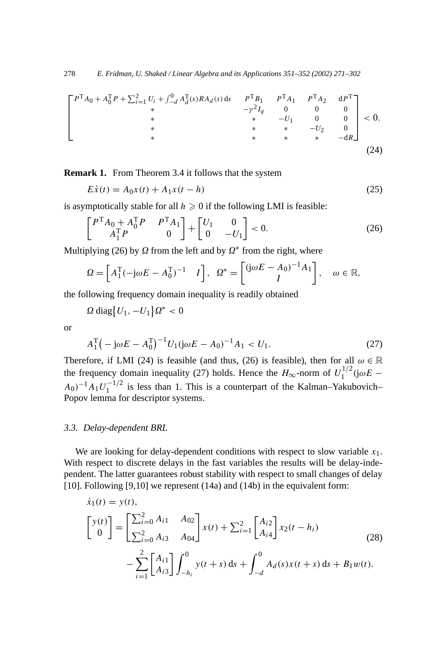$$
\begin{bmatrix}\nP^{\mathrm{T}}A_0 + A_0^{\mathrm{T}}P + \sum_{i=1}^2 U_i + \int_{-d}^0 A_d^{\mathrm{T}}(s)RA_d(s) \, \mathrm{d}s & P^{\mathrm{T}}B_1 & P^{\mathrm{T}}A_1 & P^{\mathrm{T}}A_2 & \mathrm{d}P^{\mathrm{T}} \\
* & * & -\gamma^2 I_q & 0 & 0 & 0 \\
* & * & * & -U_1 & 0 & 0 \\
* & * & * & * & -U_2 & 0 \\
* & * & * & * & -\mathrm{d}R\n\end{bmatrix} < 0.
$$
\n(24)

**Remark 1.** From Theorem 3.4 it follows that the system

$$
E\dot{x}(t) = A_0x(t) + A_1x(t - h)
$$
\n(25)

is asymptotically stable for all  $h \geq 0$  if the following LMI is feasible:

$$
\begin{bmatrix} P^{\mathrm{T}} A_0 + A_0^{\mathrm{T}} P & P^{\mathrm{T}} A_1 \\ A_1^{\mathrm{T}} P & 0 \end{bmatrix} + \begin{bmatrix} U_1 & 0 \\ 0 & -U_1 \end{bmatrix} < 0.
$$
 (26)

Multiplying (26) by  $\Omega$  from the left and by  $\Omega^*$  from the right, where

$$
\Omega = \begin{bmatrix} A_1^{\mathrm{T}}(-\mathrm{j}\omega E - A_0^{\mathrm{T}})^{-1} & I \end{bmatrix}, \quad \Omega^* = \begin{bmatrix} (\mathrm{j}\omega E - A_0)^{-1}A_1 \\ I \end{bmatrix}, \quad \omega \in \mathbb{R},
$$

the following frequency domain inequality is readily obtained

 $\Omega$  diag $\left\{U_1, -U_1\right\}\Omega^* < 0$ 

or

$$
A_1^{\rm T}(-j\omega E - A_0^{\rm T})^{-1}U_1(j\omega E - A_0)^{-1}A_1 < U_1. \tag{27}
$$

Therefore, if LMI (24) is feasible (and thus, (26) is feasible), then for all  $\omega \in \mathbb{R}$ the frequency domain inequality (27) holds. Hence the  $H_{\infty}$ -norm of  $U_1^{1/2}$  (j $\omega E$  –  $A_0$ <sup>−1</sup> $A_1U_1^{-1/2}$  is less than 1. This is a counterpart of the Kalman–Yakubovich– Popov lemma for descriptor systems.

### *3.3. Delay-dependent BRL*

We are looking for delay-dependent conditions with respect to slow variable  $x_1$ . With respect to discrete delays in the fast variables the results will be delay-independent. The latter guarantees robust stability with respect to small changes of delay [10]. Following [9,10] we represent (14a) and (14b) in the equivalent form:

$$
\dot{x}_1(t) = y(t),
$$
\n
$$
\begin{bmatrix} y(t) \\ 0 \end{bmatrix} = \begin{bmatrix} \sum_{i=0}^{2} A_{i1} & A_{02} \\ \sum_{i=0}^{2} A_{i3} & A_{04} \end{bmatrix} x(t) + \sum_{i=1}^{2} \begin{bmatrix} A_{i2} \\ A_{i4} \end{bmatrix} x_2(t - h_i)
$$
\n
$$
- \sum_{i=1}^{2} \begin{bmatrix} A_{i1} \\ A_{i3} \end{bmatrix} \int_{-h_i}^{0} y(t + s) ds + \int_{-d}^{0} A_d(s) x(t + s) ds + B_1 w(t).
$$
\n(28)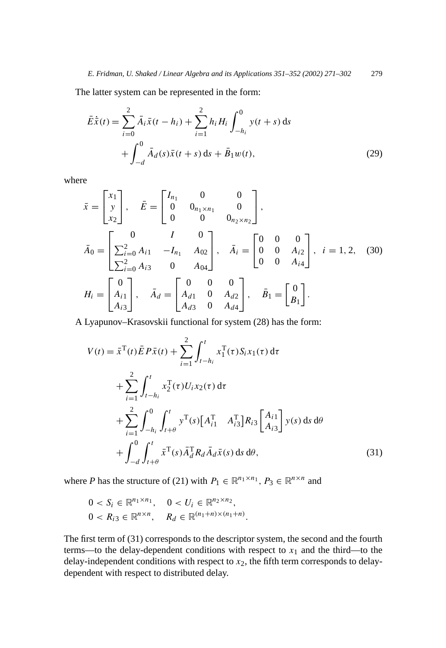The latter system can be represented in the form:

$$
\bar{E}\dot{\bar{x}}(t) = \sum_{i=0}^{2} \bar{A}_{i}\bar{x}(t - h_{i}) + \sum_{i=1}^{2} h_{i}H_{i} \int_{-h_{i}}^{0} y(t + s) ds \n+ \int_{-d}^{0} \bar{A}_{d}(s)\bar{x}(t + s) ds + \bar{B}_{1}w(t),
$$
\n(29)

where

$$
\bar{x} = \begin{bmatrix} x_1 \\ y \\ x_2 \end{bmatrix}, \quad \bar{E} = \begin{bmatrix} I_{n_1} & 0 & 0 \\ 0 & 0_{n_1 \times n_1} & 0 \\ 0 & 0 & 0_{n_2 \times n_2} \end{bmatrix},
$$
\n
$$
\bar{A}_0 = \begin{bmatrix} 0 & I & 0 \\ \sum_{i=0}^{2} A_{i1} & -I_{n_1} & A_{02} \\ \sum_{i=0}^{2} A_{i3} & 0 & A_{04} \end{bmatrix}, \quad \bar{A}_i = \begin{bmatrix} 0 & 0 & 0 \\ 0 & 0 & A_{i2} \\ 0 & 0 & A_{i4} \end{bmatrix}, \quad i = 1, 2, (30)
$$
\n
$$
H_i = \begin{bmatrix} 0 \\ A_{i1} \\ A_{i3} \end{bmatrix}, \quad \bar{A}_d = \begin{bmatrix} 0 & 0 & 0 \\ A_{d1} & 0 & A_{d2} \\ A_{d3} & 0 & A_{d4} \end{bmatrix}, \quad \bar{B}_1 = \begin{bmatrix} 0 \\ B_1 \end{bmatrix}.
$$

A Lyapunov–Krasovskii functional for system (28) has the form:

$$
V(t) = \bar{x}^{T}(t)\bar{E}P\bar{x}(t) + \sum_{i=1}^{2} \int_{t-h_{i}}^{t} x_{1}^{T}(\tau)S_{i}x_{1}(\tau) d\tau
$$
  
+ 
$$
\sum_{i=1}^{2} \int_{t-h_{i}}^{t} x_{2}^{T}(\tau)U_{i}x_{2}(\tau) d\tau
$$
  
+ 
$$
\sum_{i=1}^{2} \int_{-h_{i}}^{0} \int_{t+\theta}^{t} y^{T}(s) \Big[A_{i1}^{T} A_{i3}^{T}\Big] R_{i3} \left[A_{i1}^{T}\right] y(s) ds d\theta
$$
  
+ 
$$
\int_{-d}^{0} \int_{t+\theta}^{t} \bar{x}^{T}(s) \bar{A}_{d}^{T} R_{d} \bar{A}_{d} \bar{x}(s) ds d\theta,
$$
 (31)

where *P* has the structure of (21) with  $P_1 \in \mathbb{R}^{n_1 \times n_1}$ ,  $P_3 \in \mathbb{R}^{n \times n}$  and

$$
0 < S_i \in \mathbb{R}^{n_1 \times n_1}, \quad 0 < U_i \in \mathbb{R}^{n_2 \times n_2},
$$
\n
$$
0 < R_{i3} \in \mathbb{R}^{n \times n}, \quad R_d \in \mathbb{R}^{(n_1 + n) \times (n_1 + n)}.
$$

The first term of (31) corresponds to the descriptor system, the second and the fourth terms—to the delay-dependent conditions with respect to  $x_1$  and the third—to the delay-independent conditions with respect to  $x_2$ , the fifth term corresponds to delaydependent with respect to distributed delay.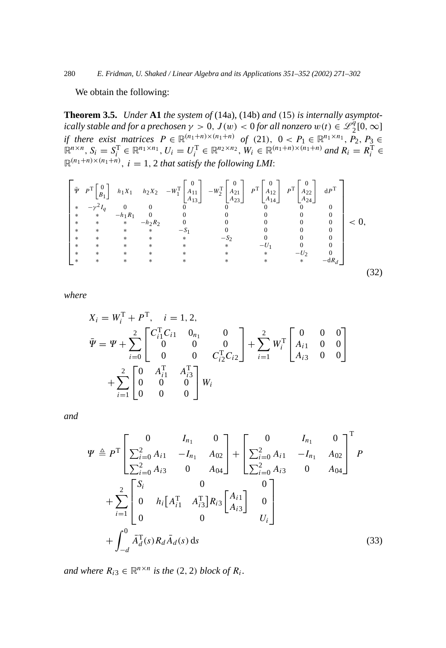280 *E. Fridman, U. Shaked / Linear Algebra and its Applications 351–352 (2002) 271–302*

We obtain the following:

**Theorem 3.5.** *Under* **A1** *the system of* (14a), (14b) *and (*15*) is internally asymptotically stable and for a prechosen*  $\gamma > 0$ ,  $J(w) < 0$  *for all nonzero*  $w(t) \in \mathscr{L}_2^{\tilde{q}}[0, \infty]$ *if there exist matrices*  $P \in \mathbb{R}^{(n_1+n) \times (n_1+n)}$  *of* (21),  $0 < P_1 \in \mathbb{R}^{n_1 \times n_1}$ ,  $P_2, P_3 \in$  $\mathbb{R}^{n \times n}$ ,  $S_i = S_i^{\mathrm{T}} \in \mathbb{R}^{n_1 \times n_1}$ ,  $U_i = U_i^{\mathrm{T}} \in \mathbb{R}^{n_2 \times n_2}$ ,  $W_i \in \mathbb{R}^{(n_1 + n) \times (n_1 + n)}$  and  $R_i = R_i^{\mathrm{T}} \in \mathbb{R}^{n_2}$  $\mathbb{R}^{(n_1+n)\times(n_1+n)}$ ,  $i=1,2$  *that satisfy the following LMI*:

$$
\begin{bmatrix}\n\bar{\Psi} & P^T \begin{bmatrix} 0 \\ B_1 \end{bmatrix} & h_1 X_1 & h_2 X_2 & -W_1^T \begin{bmatrix} 0 \\ A_{11} \\ A_{13} \end{bmatrix} & -W_2^T \begin{bmatrix} 0 \\ A_{21} \\ A_{23} \end{bmatrix} & P^T \begin{bmatrix} 0 \\ A_{12} \\ A_{14} \end{bmatrix} & P^T \begin{bmatrix} 0 \\ A_{22} \\ A_{24} \end{bmatrix} & dP^T \\
\ast & -\gamma^2 I_q & 0 & 0 & 0 & 0 & 0 & 0 \\
\ast & \ast & -h_1 R_1 & 0 & 0 & 0 & 0 & 0 \\
\ast & \ast & \ast & -h_2 R_2 & 0 & 0 & 0 & 0 & 0 \\
\ast & \ast & \ast & \ast & -S_1 & 0 & 0 & 0 & 0 \\
\ast & \ast & \ast & \ast & \ast & \ast & -U_1 & 0 & 0 \\
\ast & \ast & \ast & \ast & \ast & \ast & \ast & \ast & -U_2 & 0 \\
\ast & \ast & \ast & \ast & \ast & \ast & \ast & \ast & \ast & -U_2 & 0 \\
\ast & \ast & \ast & \ast & \ast & \ast & \ast & \ast & \ast & -U_2 & 0 \\
\ast & \ast & \ast & \ast & \ast & \ast & \ast & \ast & \ast & -dR_d\n\end{bmatrix}
$$
\n(32)

*where*

$$
X_i = W_i^{\mathrm{T}} + P^{\mathrm{T}}, \quad i = 1, 2,
$$
  
\n
$$
\bar{\Psi} = \Psi + \sum_{i=0}^{2} \begin{bmatrix} C_{i1}^{\mathrm{T}} C_{i1} & 0_{n_1} & 0 \\ 0 & 0 & 0 \\ 0 & 0 & C_{i2}^{\mathrm{T}} C_{i2} \end{bmatrix} + \sum_{i=1}^{2} W_i^{\mathrm{T}} \begin{bmatrix} 0 & 0 & 0 \\ A_{i1} & 0 & 0 \\ A_{i3} & 0 & 0 \end{bmatrix}
$$
  
\n
$$
+ \sum_{i=1}^{2} \begin{bmatrix} 0 & A_{i1}^{\mathrm{T}} & A_{i3}^{\mathrm{T}} \\ 0 & 0 & 0 \\ 0 & 0 & 0 \end{bmatrix} W_i
$$

*and*

$$
\Psi \triangleq P^{T} \left[ \sum_{i=0}^{2} A_{i1} \quad -I_{n_{1}} \quad A_{02} \right] + \left[ \sum_{i=0}^{2} A_{i1} \quad -I_{n_{1}} \quad A_{02} \right]^{T} P
$$
  
+ 
$$
\sum_{i=1}^{2} \left[ \begin{array}{cccc} S_{i} & 0 & 0 \ 0 & A_{i1} & -I_{n_{1}} \ 0 & 0 & A_{i2} \end{array} \right] + \sum_{i=1}^{2} \left[ \begin{array}{cccc} S_{i} & 0 & 0 \ 0 & 0 & 0 \ 0 & 0 & 0 \end{array} \right] + \sum_{i=1}^{2} \left[ \begin{array}{cccc} S_{i} & 0 & 0 \ 0 & 0 & 0 \ 0 & 0 & 0 \end{array} \right] + \int_{-d}^{0} \bar{A}_{d}^{T}(s) R_{d} \bar{A}_{d}(s) ds
$$
(33)

*and where*  $R_{i3} \in \mathbb{R}^{n \times n}$  *is the* (2, 2) *block of*  $R_i$ *.*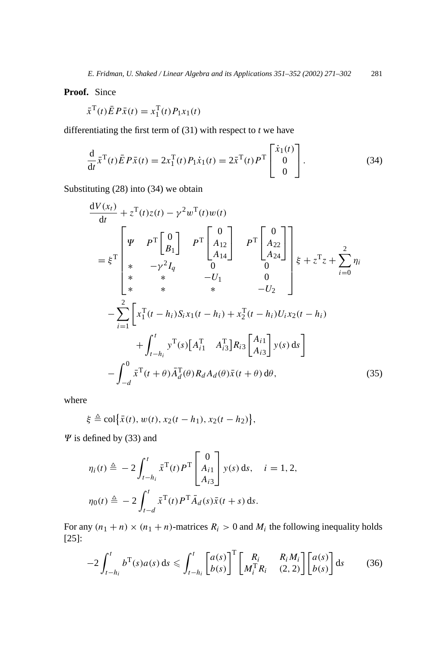**Proof.** Since

$$
\bar{x}^{\mathrm{T}}(t)\bar{E}P\bar{x}(t) = x_1^{\mathrm{T}}(t)P_1x_1(t)
$$

differentiating the first term of (31) with respect to *t* we have

$$
\frac{d}{dt}\bar{x}^{T}(t)\bar{E}P\bar{x}(t) = 2x_{1}^{T}(t)P_{1}\dot{x}_{1}(t) = 2\bar{x}^{T}(t)P^{T}\begin{bmatrix} \dot{x}_{1}(t) \\ 0 \\ 0 \end{bmatrix}.
$$
\n(34)

Substituting (28) into (34) we obtain

$$
\frac{dV(x_t)}{dt} + z^{T}(t)z(t) - \gamma^{2}w^{T}(t)w(t)
$$
\n
$$
= \xi^{T} \begin{bmatrix} \psi & p^{T} \begin{bmatrix} 0 \\ B_{1} \end{bmatrix} & p^{T} \begin{bmatrix} 0 \\ A_{12} \\ A_{14} \end{bmatrix} & P^{T} \begin{bmatrix} 0 \\ A_{22} \\ A_{24} \end{bmatrix} \\ * & * & -V^{2}I_{q} & 0 & 0 \\ * & * & -U_{1} & 0 \\ * & * & * & -U_{2} \end{bmatrix} \xi + z^{T}z + \sum_{i=0}^{2} \eta_{i}
$$
\n
$$
- \sum_{i=1}^{2} \begin{bmatrix} x_{1}^{T}(t - h_{i})S_{i}x_{1}(t - h_{i}) + x_{2}^{T}(t - h_{i})U_{i}x_{2}(t - h_{i}) \\ + \int_{t - h_{i}}^{t} y^{T}(s)[A_{i1}^{T} & A_{i3}^{T}]R_{i3} \begin{bmatrix} A_{i1} \\ A_{i3} \end{bmatrix} y(s) ds \end{bmatrix}
$$
\n
$$
- \int_{-d}^{0} \bar{x}^{T}(t + \theta) \bar{A}_{d}^{T}(\theta) R_{d} A_{d}(\theta) \bar{x}(t + \theta) d\theta, \qquad (35)
$$

where

$$
\xi \triangleq \text{col}\big\{\bar{x}(t), w(t), x_2(t-h_1), x_2(t-h_2)\big\},\
$$

 $\Psi$  is defined by (33) and

$$
\eta_i(t) \triangleq -2 \int_{t-h_i}^t \bar{x}^{\mathrm{T}}(t) P^{\mathrm{T}} \begin{bmatrix} 0 \\ A_{i1} \\ A_{i3} \end{bmatrix} y(s) \, \mathrm{d}s, \quad i = 1, 2,
$$

$$
\eta_0(t) \triangleq -2 \int_{t-d}^t \bar{x}^{\mathrm{T}}(t) P^{\mathrm{T}} \bar{A}_d(s) \bar{x}(t+s) \, \mathrm{d}s.
$$

For any  $(n_1 + n) \times (n_1 + n)$ -matrices  $R_i > 0$  and  $M_i$  the following inequality holds [25]:

$$
-2\int_{t-h_i}^t b^{\mathrm{T}}(s)a(s) ds \leqslant \int_{t-h_i}^t \begin{bmatrix} a(s) \\ b(s) \end{bmatrix}^{\mathrm{T}} \begin{bmatrix} R_i & R_i M_i \\ M_i^{\mathrm{T}} R_i & (2,2) \end{bmatrix} \begin{bmatrix} a(s) \\ b(s) \end{bmatrix} ds \tag{36}
$$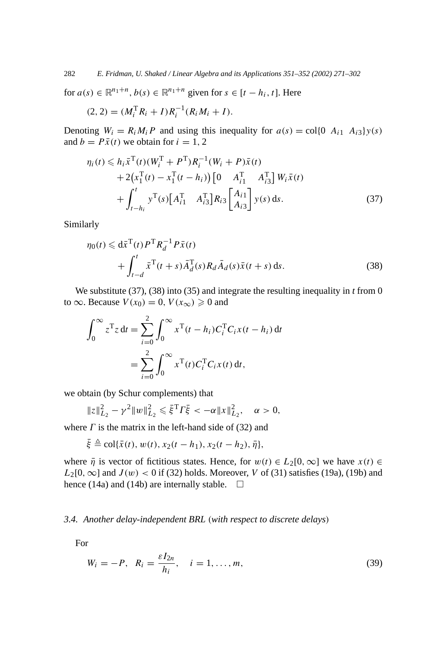for  $a(s) \in \mathbb{R}^{n_1+n}$ ,  $b(s) \in \mathbb{R}^{n_1+n}$  given for  $s \in [t-h_i, t]$ . Here

$$
(2,2) = (M_i^{\mathrm{T}} R_i + I) R_i^{-1} (R_i M_i + I).
$$

Denoting  $W_i = R_i M_i P$  and using this inequality for  $a(s) = \text{col}\lbrace 0 \ A_{i1} \ A_{i3}\rbrace y(s)$ and  $b = P\bar{x}(t)$  we obtain for  $i = 1, 2$ 

$$
\eta_i(t) \leq h_i \bar{x}^{\mathrm{T}}(t) (W_i^{\mathrm{T}} + P^{\mathrm{T}}) R_i^{-1} (W_i + P) \bar{x}(t) \n+ 2(x_1^{\mathrm{T}}(t) - x_1^{\mathrm{T}}(t - h_i)) [0 \t A_{i1}^{\mathrm{T}} \t A_{i3}^{\mathrm{T}}] W_i \bar{x}(t) \n+ \int_{t - h_i}^t y^{\mathrm{T}}(s) [A_{i1}^{\mathrm{T}} \t A_{i3}^{\mathrm{T}}] R_{i3} \begin{bmatrix} A_{i1} \\ A_{i3} \end{bmatrix} y(s) ds.
$$
\n(37)

Similarly

$$
\eta_0(t) \leq d\bar{x}^{\mathrm{T}}(t) P^{\mathrm{T}} R_d^{-1} P \bar{x}(t)
$$
  
+ 
$$
\int_{t-d}^t \bar{x}^{\mathrm{T}}(t+s) \bar{A}_d^{\mathrm{T}}(s) R_d \bar{A}_d(s) \bar{x}(t+s) ds.
$$
 (38)

We substitute (37), (38) into (35) and integrate the resulting inequality in *t* from 0 to  $\infty$ . Because  $V(x_0) = 0$ ,  $V(x_\infty) \ge 0$  and

$$
\int_0^{\infty} z^{\mathrm{T}} z dt = \sum_{i=0}^{2} \int_0^{\infty} x^{\mathrm{T}} (t - h_i) C_i^{\mathrm{T}} C_i x (t - h_i) dt
$$
  
= 
$$
\sum_{i=0}^{2} \int_0^{\infty} x^{\mathrm{T}} (t) C_i^{\mathrm{T}} C_i x (t) dt,
$$

we obtain (by Schur complements) that

$$
||z||_{L_2}^2 - \gamma^2 ||w||_{L_2}^2 \le \bar{\xi}^T \Gamma \bar{\xi} < -\alpha ||x||_{L_2}^2, \quad \alpha > 0,
$$

where  $\Gamma$  is the matrix in the left-hand side of (32) and

$$
\bar{\xi} \triangleq \text{col}\{\bar{x}(t), w(t), x_2(t - h_1), x_2(t - h_2), \bar{\eta}\},\
$$

where  $\bar{\eta}$  is vector of fictitious states. Hence, for  $w(t) \in L_2[0, \infty]$  we have  $x(t) \in$  $L_2[0,\infty]$  and  $J(w) < 0$  if (32) holds. Moreover, *V* of (31) satisfies (19a), (19b) and hence (14a) and (14b) are internally stable.  $\Box$ 

## *3.4. Another delay-independent BRL (with respect to discrete delays)*

For

*ξ*¯ -

$$
W_i = -P, \quad R_i = \frac{\varepsilon I_{2n}}{h_i}, \quad i = 1, \dots, m,
$$
\n<sup>(39)</sup>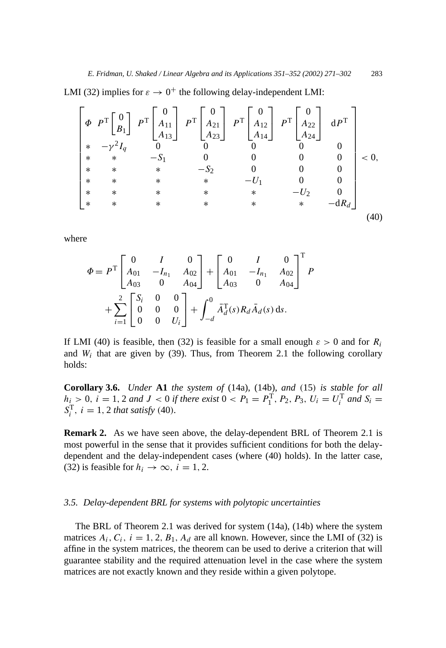LMI (32) implies for  $\varepsilon \to 0^+$  the following delay-independent LMI:

$$
\begin{bmatrix}\n\Phi & P^T \begin{bmatrix} 0 \\ B_1 \end{bmatrix} & P^T \begin{bmatrix} 0 \\ A_{11} \\ A_{13} \end{bmatrix} & P^T \begin{bmatrix} 0 \\ A_{21} \\ A_{23} \end{bmatrix} & P^T \begin{bmatrix} 0 \\ A_{12} \\ A_{14} \end{bmatrix} & P^T \begin{bmatrix} 0 \\ A_{22} \\ A_{24} \end{bmatrix} & dP^T \\
* & * & -S_1 & 0 & 0 & 0 & 0 \\
* & * & * & -S_2 & 0 & 0 & 0 \\
* & * & * & * & -U_1 & 0 & 0 \\
* & * & * & * & * & -U_2 & 0 \\
* & * & * & * & * & * & -dR_d\n\end{bmatrix} & & (40)
$$

where

$$
\Phi = P^{\text{T}} \begin{bmatrix} 0 & I & 0 \\ A_{01} & -I_{n_1} & A_{02} \\ A_{03} & 0 & A_{04} \end{bmatrix} + \begin{bmatrix} 0 & I & 0 \\ A_{01} & -I_{n_1} & A_{02} \\ A_{03} & 0 & A_{04} \end{bmatrix}^{\text{T}} P + \sum_{i=1}^{2} \begin{bmatrix} S_i & 0 & 0 \\ 0 & 0 & 0 \\ 0 & 0 & U_i \end{bmatrix} + \int_{-d}^{0} \bar{A}_d^{\text{T}}(s) R_d \bar{A}_d(s) ds.
$$

If LMI (40) is feasible, then (32) is feasible for a small enough  $\varepsilon > 0$  and for  $R_i$ and  $W_i$  that are given by (39). Thus, from Theorem 2.1 the following corollary holds:

**Corollary 3.6.** *Under* **A1** *the system of* (14a), (14b), *and (*15*) is stable for all*  $h_i > 0$ ,  $i = 1, 2$  *and*  $J < 0$  *if there exist*  $0 < P_1 = P_1^T$ ,  $P_2$ ,  $P_3$ ,  $U_i = U_i^T$  *and*  $S_i =$  $S_i^T$ *, i* = 1*,* 2 *that satisfy* (40*).* 

**Remark 2.** As we have seen above, the delay-dependent BRL of Theorem 2.1 is most powerful in the sense that it provides sufficient conditions for both the delaydependent and the delay-independent cases (where (40) holds). In the latter case, (32) is feasible for  $h_i \rightarrow \infty$ ,  $i = 1, 2$ .

#### *3.5. Delay-dependent BRL for systems with polytopic uncertainties*

The BRL of Theorem 2.1 was derived for system (14a), (14b) where the system matrices  $A_i$ ,  $C_i$ ,  $i = 1, 2, B_1, A_d$  are all known. However, since the LMI of (32) is affine in the system matrices, the theorem can be used to derive a criterion that will guarantee stability and the required attenuation level in the case where the system matrices are not exactly known and they reside within a given polytope.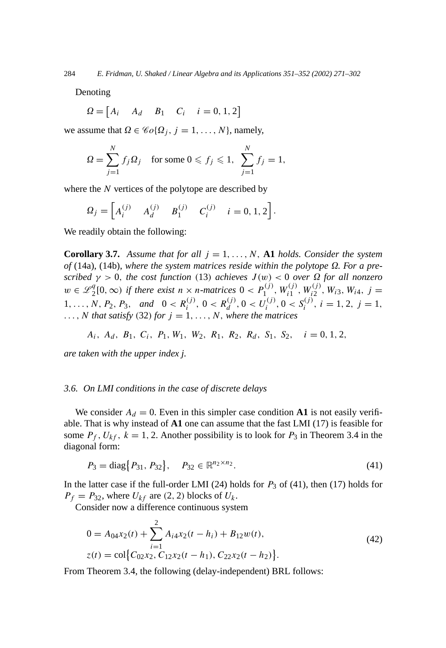Denoting

$$
\Omega = \begin{bmatrix} A_i & A_d & B_1 & C_i & i = 0, 1, 2 \end{bmatrix}
$$

we assume that  $\Omega \in \mathcal{C}_0(\Omega_j, j = 1, \ldots, N)$ , namely,

$$
\Omega = \sum_{j=1}^{N} f_j \Omega_j \quad \text{for some } 0 \leqslant f_j \leqslant 1, \sum_{j=1}^{N} f_j = 1,
$$

where the *N* vertices of the polytope are described by

$$
\Omega_j = \begin{bmatrix} A_i^{(j)} & A_d^{(j)} & B_1^{(j)} & C_i^{(j)} & i = 0, 1, 2 \end{bmatrix}.
$$

We readily obtain the following:

**Corollary 3.7.** Assume that for all  $j = 1, ..., N$ , A1 holds. Consider the system  $of (14a), (14b), where the system matrices reside within the polytope  $\Omega$ . For a pre$ *scribed*  $\gamma > 0$ , *the cost function* (13) *achieves*  $J(w) < 0$  *over*  $\Omega$  *for all nonzero*  $w \in \mathcal{L}_2^q[0,\infty)$  if there exist  $n \times n$ -matrices  $0 < P_1^{(j)}$ ,  $W_{i1}^{(j)}$ ,  $W_{i2}^{(j)}$ ,  $W_{i3}$ ,  $W_{i4}$ ,  $j =$  $1, ..., N, P_2, P_3, \text{ and } 0 < R_i^{(j)}, 0 < R_d^{(j)}, 0 < U_i^{(j)}, 0 < S_i^{(j)}, i = 1, 2, j = 1,$  $\ldots$ , *N* that satisfy (32) for  $j = 1, \ldots, N$ , where the matrices

*A<sub>i</sub>*, *A<sub>d</sub>*, *B*<sub>1</sub>, *C<sub>i</sub>*, *P*<sub>1</sub>, *W*<sub>1</sub>, *W*<sub>2</sub>, *R*<sub>1</sub>, *R*<sub>2</sub>, *R*<sub>d</sub>, *S*<sub>1</sub>, *S*<sub>2</sub>, *i* = 0, 1, 2,

*are taken with the upper index j.*

#### *3.6. On LMI conditions in the case of discrete delays*

We consider  $A_d = 0$ . Even in this simpler case condition A1 is not easily verifiable. That is why instead of **A1** one can assume that the fast LMI (17) is feasible for some  $P_f$ ,  $U_{kf}$ ,  $k = 1, 2$ . Another possibility is to look for  $P_3$  in Theorem 3.4 in the diagonal form:

$$
P_3 = \text{diag}\{P_{31}, P_{32}\}, \quad P_{32} \in \mathbb{R}^{n_2 \times n_2}.
$$
 (41)

In the latter case if the full-order LMI (24) holds for  $P_3$  of (41), then (17) holds for  $P_f = P_{32}$ , where  $U_{kf}$  are (2, 2) blocks of  $U_k$ .

Consider now a difference continuous system

$$
0 = A_{04}x_2(t) + \sum_{i=1}^{2} A_{i4}x_2(t - h_i) + B_{12}w(t),
$$
  
\n
$$
z(t) = \text{col}\Big\{C_{02}x_2, C_{12}x_2(t - h_1), C_{22}x_2(t - h_2)\Big\}.
$$
\n(42)

From Theorem 3.4, the following (delay-independent) BRL follows: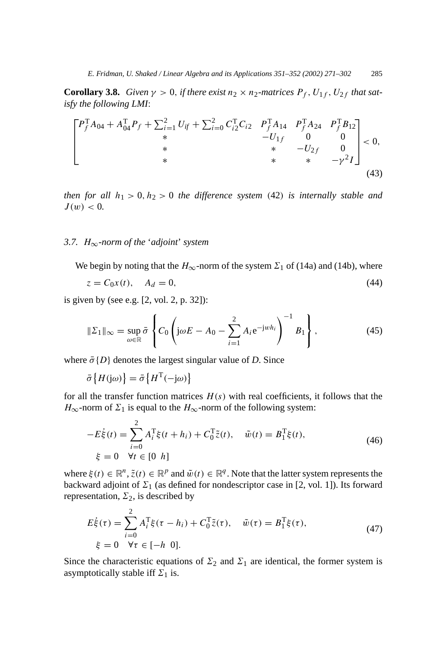**Corollary 3.8.** *Given*  $\gamma > 0$ *, if there exist*  $n_2 \times n_2$ *-matrices*  $P_f$ *,*  $U_{1f}$ *,*  $U_{2f}$ *that satisfy the following LMI*:

$$
\begin{bmatrix}\nP_f^{\mathrm{T}}A_{04} + A_{04}^{\mathrm{T}}P_f + \sum_{i=1}^2 U_{if} + \sum_{i=0}^2 C_{i2}^{\mathrm{T}}C_{i2} & P_f^{\mathrm{T}}A_{14} & P_f^{\mathrm{T}}A_{24} & P_f^{\mathrm{T}}B_{12} \\
* & * & -U_{1f} & 0 & 0 \\
* & * & -U_{2f} & 0 \\
* & * & * & -\gamma^2 I\n\end{bmatrix} < 0,\tag{43}
$$

*then for all*  $h_1 > 0, h_2 > 0$  *the difference system* (42*) is internally stable and*  $J(w) < 0$ .

#### *3.7. H*∞*-norm of the* '*adjoint*' *system*

We begin by noting that the  $H_{\infty}$ -norm of the system  $\Sigma_1$  of (14a) and (14b), where

$$
z = C_0 x(t), \quad A_d = 0,
$$
\n(44)

is given by (see e.g. [2, vol. 2, p. 32]):

$$
\|\Sigma_1\|_{\infty} = \sup_{\omega \in \mathbb{R}} \bar{\sigma} \left\{ C_0 \left( j\omega E - A_0 - \sum_{i=1}^2 A_i e^{-jwh_i} \right)^{-1} B_1 \right\},\tag{45}
$$

where  $\bar{\sigma}$ {*D*} denotes the largest singular value of *D*. Since

$$
\bar{\sigma}\left\{H(\mathrm{j}\omega)\right\} = \bar{\sigma}\left\{H^{\mathrm{T}}(-\mathrm{j}\omega)\right\}
$$

for all the transfer function matrices  $H(s)$  with real coefficients, it follows that the *H*<sub>∞</sub>-norm of  $\Sigma_1$  is equal to the *H*<sub>∞</sub>-norm of the following system:

$$
-E\dot{\xi}(t) = \sum_{i=0}^{2} A_i^{\mathrm{T}} \xi(t + h_i) + C_0^{\mathrm{T}} \tilde{z}(t), \quad \tilde{w}(t) = B_1^{\mathrm{T}} \xi(t),
$$
  
  $\xi = 0 \quad \forall t \in [0 \ h]$  (46)

where  $\xi(t) \in \mathbb{R}^n$ ,  $\tilde{z}(t) \in \mathbb{R}^p$  and  $\tilde{w}(t) \in \mathbb{R}^q$ . Note that the latter system represents the backward adjoint of  $\Sigma_1$  (as defined for nondescriptor case in [2, vol. 1]). Its forward representation,  $\Sigma_2$ , is described by

$$
E_{\xi}^{\dot{\tau}}(\tau) = \sum_{i=0}^{2} A_i^{\text{T}} \xi(\tau - h_i) + C_0^{\text{T}} \tilde{z}(\tau), \quad \tilde{w}(\tau) = B_1^{\text{T}} \xi(\tau),
$$
  
  $\xi = 0 \quad \forall \tau \in [-h \ 0].$  (47)

Since the characteristic equations of  $\Sigma_2$  and  $\Sigma_1$  are identical, the former system is asymptotically stable iff  $\Sigma_1$  is.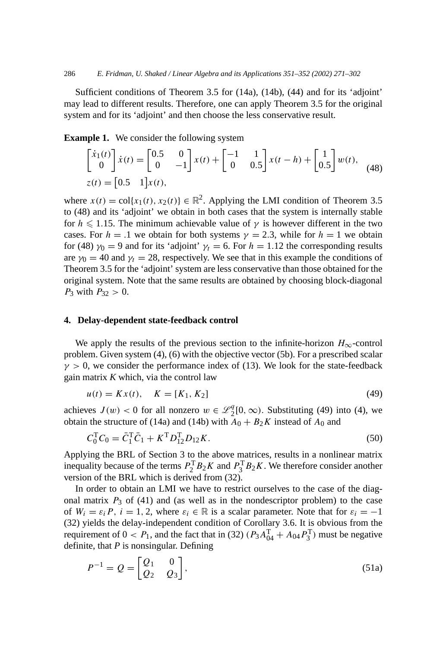Sufficient conditions of Theorem 3.5 for (14a), (14b), (44) and for its 'adjoint' may lead to different results. Therefore, one can apply Theorem 3.5 for the original system and for its 'adjoint' and then choose the less conservative result.

**Example 1.** We consider the following system

$$
\begin{bmatrix} \dot{x}_1(t) \\ 0 \end{bmatrix} \dot{x}(t) = \begin{bmatrix} 0.5 & 0 \\ 0 & -1 \end{bmatrix} x(t) + \begin{bmatrix} -1 & 1 \\ 0 & 0.5 \end{bmatrix} x(t - h) + \begin{bmatrix} 1 \\ 0.5 \end{bmatrix} w(t),
$$
  
\nz(t) =  $\begin{bmatrix} 0.5 & 1 \end{bmatrix} x(t),$  (48)

where  $x(t) = \text{col}\{x_1(t), x_2(t)\} \in \mathbb{R}^2$ . Applying the LMI condition of Theorem 3.5 to (48) and its 'adjoint' we obtain in both cases that the system is internally stable for  $h \leq 1.15$ . The minimum achievable value of  $\gamma$  is however different in the two cases. For  $h = 0.1$  we obtain for both systems  $\gamma = 2.3$ , while for  $h = 1$  we obtain for (48)  $\gamma_0 = 9$  and for its 'adjoint'  $\gamma_t = 6$ . For  $h = 1.12$  the corresponding results are  $\gamma_0 = 40$  and  $\gamma_t = 28$ , respectively. We see that in this example the conditions of Theorem 3.5 for the 'adjoint' system are less conservative than those obtained for the original system. Note that the same results are obtained by choosing block-diagonal *P*<sub>3</sub> with  $P_{32} > 0$ .

## **4. Delay-dependent state-feedback control**

We apply the results of the previous section to the infinite-horizon  $H_{\infty}$ -control problem. Given system (4), (6) with the objective vector (5b). For a prescribed scalar  $\gamma > 0$ , we consider the performance index of (13). We look for the state-feedback gain matrix *K* which, via the control law

$$
u(t) = Kx(t), \quad K = [K_1, K_2]
$$
\n(49)

achieves  $J(w) < 0$  for all nonzero  $w \in \mathcal{L}_2^q[0,\infty)$ . Substituting (49) into (4), we obtain the structure of (14a) and (14b) with  $A_0 + B_2K$  instead of  $A_0$  and

$$
C_0^{\mathrm{T}}C_0 = \bar{C}_1^{\mathrm{T}}\bar{C}_1 + K^{\mathrm{T}}D_{12}^{\mathrm{T}}D_{12}K. \tag{50}
$$

Applying the BRL of Section 3 to the above matrices, results in a nonlinear matrix inequality because of the terms  $P_2^T B_2 K$  and  $P_3^T B_2 K$ . We therefore consider another version of the BRL which is derived from (32).

In order to obtain an LMI we have to restrict ourselves to the case of the diagonal matrix  $P_3$  of (41) and (as well as in the nondescriptor problem) to the case of  $W_i = \varepsilon_i P$ ,  $i = 1, 2$ , where  $\varepsilon_i \in \mathbb{R}$  is a scalar parameter. Note that for  $\varepsilon_i = -1$ (32) yields the delay-independent condition of Corollary 3.6. It is obvious from the requirement of  $0 < P_1$ , and the fact that in (32)  $(P_3A_{04}^T + A_{04}P_3^T)$  must be negative definite, that *P* is nonsingular. Defining

$$
P^{-1} = Q = \begin{bmatrix} Q_1 & 0 \\ Q_2 & Q_3 \end{bmatrix},\tag{51a}
$$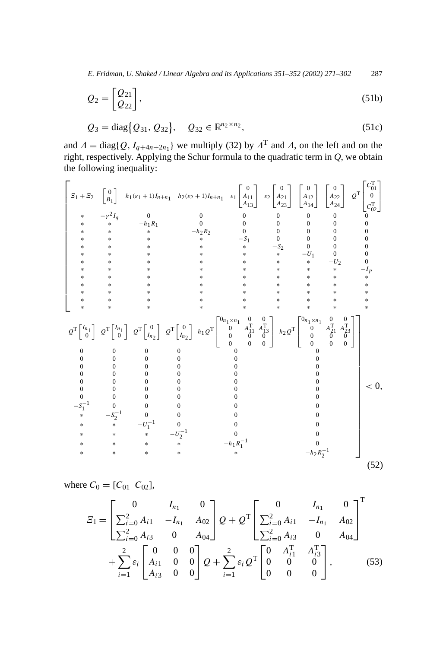*E. Fridman, U. Shaked / Linear Algebra and its Applications 351–352 (2002) 271–302* 287

$$
Q_2 = \begin{bmatrix} Q_{21} \\ Q_{22} \end{bmatrix},\tag{51b}
$$

$$
Q_3 = \text{diag}\{Q_{31}, Q_{32}\}, \quad Q_{32} \in \mathbb{R}^{n_2 \times n_2},\tag{51c}
$$

and  $\Delta = \text{diag}\{Q, I_{q+4n+2n_1}\}\$  we multiply (32) by  $\Delta^T$  and  $\Delta$ , on the left and on the right, respectively. Applying the Schur formula to the quadratic term in *Q*, we obtain the following inequality:

$$
\begin{bmatrix}\n\Xi_{1} + \Xi_{2} & \begin{bmatrix} 0 \\ B_{1} \end{bmatrix} & h_{1}(\varepsilon_{1} + 1)I_{n+n_{1}} & h_{2}(\varepsilon_{2} + 1)I_{n+n_{1}} & \varepsilon_{1} \begin{bmatrix} 0 \\ A_{11} \\ A_{12} \end{bmatrix} & \begin{bmatrix} 0 \\ A_{22} \\ A_{23} \end{bmatrix} & \begin{bmatrix} 0 \\ A_{12} \\ A_{24} \end{bmatrix} & \begin{bmatrix} 0 \\ 0 \\ A_{24} \end{bmatrix} & \begin{bmatrix} 0 \\ 0 \\ 0 \\ 0 \end{bmatrix} \\
\begin{matrix}\n\Xi_{1} \\
\Xi_{2} \\
\Xi_{3} \\
\Xi_{4} \\
\Xi_{5} \\
\Xi_{6} \\
\Xi_{7}\n\end{matrix}\n\end{bmatrix}
$$
\n
$$
\begin{matrix}\n\Xi_{1} \\
\Xi_{2} \\
\Xi_{3} \\
\Xi_{4} \\
\Xi_{5} \\
\Xi_{6} \\
\Xi_{7}\n\end{matrix}
$$
\n
$$
\begin{matrix}\n\Xi_{1} \\
\Xi_{2} \\
\Xi_{3} \\
\Xi_{4} \\
\Xi_{5} \\
\Xi_{6} \\
\Xi_{7}\n\end{matrix}
$$
\n
$$
\begin{matrix}\n\Xi_{1} \\
\Xi_{2} \\
\Xi_{3} \\
\Xi_{4} \\
\Xi_{5} \\
\Xi_{6} \\
\Xi_{7}\n\end{matrix}
$$
\n
$$
\begin{matrix}\n\Xi_{1} \\
\Xi_{2} \\
\Xi_{3} \\
\Xi_{4} \\
\Xi_{5} \\
\Xi_{6} \\
\Xi_{7}\n\end{matrix}
$$
\n
$$
\begin{matrix}\n\Xi_{1} \\
\Xi_{2} \\
\Xi_{3} \\
\Xi_{4} \\
\Xi_{5} \\
\Xi_{6} \\
\Xi_{7}\n\end{matrix}
$$
\n
$$
\begin{matrix}\n\Xi_{1} \\
\Xi_{2} \\
\Xi_{3} \\
\Xi_{4} \\
\Xi_{5} \\
\Xi_{6} \\
\Xi_{7}\n\end{matrix}
$$
\n
$$
\begin{matrix}\n\Xi_{1} \\
\Xi_{2} \\
\Xi_{3} \\
\Xi_{7}\n\end{matrix}
$$
\n
$$
\begin{matrix}\n\Xi_{1} \\
\Xi_{2} \\
\Xi_{3} \\
\Xi_{7}\n\end{matrix}
$$
\n
$$
\begin{matrix}\n\Xi_{1} \\
\Xi_{2} \\
\
$$

where  $C_0 = [C_{01} \ C_{02}],$ 

$$
E_{1} = \begin{bmatrix} 0 & I_{n_{1}} & 0 \\ \sum_{i=0}^{2} A_{i1} & -I_{n_{1}} & A_{02} \\ \sum_{i=0}^{2} A_{i3} & 0 & A_{04} \end{bmatrix} Q + Q^{\text{T}} \begin{bmatrix} 0 & I_{n_{1}} & 0 \\ \sum_{i=0}^{2} A_{i1} & -I_{n_{1}} & A_{02} \\ \sum_{i=0}^{2} A_{i3} & 0 & A_{04} \end{bmatrix}^{\text{T}} + \sum_{i=1}^{2} \varepsilon_{i} \begin{bmatrix} 0 & 0 & 0 \\ A_{i1} & 0 & 0 \\ A_{i3} & 0 & 0 \end{bmatrix} Q + \sum_{i=1}^{2} \varepsilon_{i} Q^{\text{T}} \begin{bmatrix} 0 & A_{i1}^{\text{T}} & A_{i3}^{\text{T}} \\ 0 & 0 & 0 \\ 0 & 0 & 0 \end{bmatrix}, \qquad (53)
$$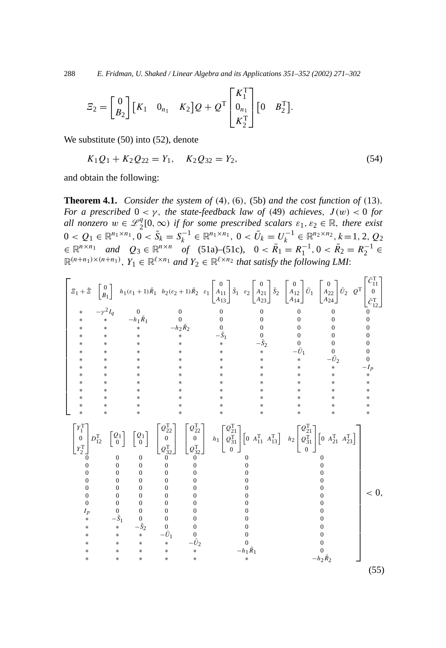288 *E. Fridman, U. Shaked / Linear Algebra and its Applications 351–352 (2002) 271–302*

$$
\mathcal{Z}_2 = \begin{bmatrix} 0 \\ B_2 \end{bmatrix} \begin{bmatrix} K_1 & 0_{n_1} & K_2 \end{bmatrix} Q + Q^{\mathrm{T}} \begin{bmatrix} K_1^{\mathrm{T}} \\ 0_{n_1} \\ K_2^{\mathrm{T}} \end{bmatrix} \begin{bmatrix} 0 & B_2^{\mathrm{T}} \end{bmatrix}.
$$

We substitute (50) into (52), denote

$$
K_1Q_1 + K_2Q_{22} = Y_1, \quad K_2Q_{32} = Y_2,\tag{54}
$$

and obtain the following:

**Theorem 4.1.** *Consider the system of (*4*), (*6*),* (5b) *and the cost function of (*13*). For a prescribed*  $0 < \gamma$ *, the state-feedback law of* (49) *achieves,*  $J(w) < 0$  *for all nonzero*  $w \in \mathcal{L}_2^q[0,\infty)$  *if for some prescribed scalars*  $\varepsilon_1, \varepsilon_2 \in \mathbb{R}$ *, there exist*  $0 < Q_1 \in \mathbb{R}^{n_1 \times n_1}, 0 < \bar{S}_k = S_k^{-1} \in \mathbb{R}^{n_1 \times n_1}, 0 < \bar{U}_k = U_k^{-1} \in \mathbb{R}^{n_2 \times n_2}, k = 1, 2, Q_2$  $\in \mathbb{R}^{n \times n_1}$  *and*  $Q_3 \in \mathbb{R}^{n \times n}$  *of* (51a)–(51c),  $0 < \overline{R}_1 = R_1^{-1}, 0 < \overline{R}_2 = R_2^{-1} \in$  $\mathbb{R}^{(n+n_1)\times(n+n_1)}$ ,  $Y_1 \in \mathbb{R}^{\ell \times n_1}$  *and*  $Y_2 \in \mathbb{R}^{\ell \times n_2}$  *that satisfy the following LMI*:

$$
\begin{bmatrix}\n\mathbf{I}_{1} + \mathbf{E} \begin{bmatrix}\n0 \\
B\n\end{bmatrix} & h_{1}(\varepsilon_{1} + 1)\bar{R}_{1} & h_{2}(\varepsilon_{2} + 1)\bar{R}_{2} & \varepsilon_{1} \begin{bmatrix}\n0 \\
A_{11} \\
A_{13}\n\end{bmatrix} \mathbf{I}_{3} & \varepsilon_{2} \begin{bmatrix}\n0 \\
A_{21} \\
A_{22}\n\end{bmatrix} \mathbf{I}_{2} \begin{bmatrix}\n0 \\
B_{2}\n\end{bmatrix} \mathbf{I}_{2} \mathbf{I}_{2} \mathbf{I}_{2} \mathbf{I}_{2} \mathbf{I}_{2} \mathbf{I}_{2} \mathbf{I}_{2} \mathbf{I}_{2} \mathbf{I}_{2} \mathbf{I}_{2} \mathbf{I}_{3} \mathbf{I}_{3} \mathbf{I}_{4} \mathbf{I}_{5} \mathbf{I}_{5} \mathbf{I}_{6} \mathbf{I}_{7} \mathbf{I}_{8} \mathbf{I}_{9} \mathbf{I}_{10} \mathbf{I}_{11} \mathbf{I}_{12} \mathbf{I}_{13} \mathbf{I}_{14} \mathbf{I}_{15} \mathbf{I}_{16} \mathbf{I}_{17} \mathbf{I}_{18} \mathbf{I}_{19} \mathbf{I}_{10} \mathbf{I}_{10} \mathbf{I}_{11} \mathbf{I}_{13} \mathbf{I}_{14} \mathbf{I}_{15} \mathbf{I}_{16} \mathbf{I}_{17} \mathbf{I}_{18} \mathbf{I}_{19} \mathbf{I}_{10} \mathbf{I}_{10} \mathbf{I}_{10} \mathbf{I}_{11} \mathbf{I}_{11} \mathbf{I}_{12} \mathbf{I}_{13} \mathbf{I}_{14} \mathbf{I}_{15} \mathbf{I}_{15} \mathbf{I}_{20} \mathbf{I}_{3} \mathbf{I}_{3} \mathbf{I}_{3} \mathbf{I}_{4} \mathbf{I}_{4} \mathbf{I}_{5} \mathbf{I}_{5} \mathbf{I}_{6} \mathbf{I}_{7} \mathbf{I}_{7} \mathbf{I}_{8} \mathbf{I}_{9} \mathbf{I}_{10} \mathbf{I}_{11} \mathbf{I}_{11} \mathbf{I}_{12} \mathbf{I}_{13
$$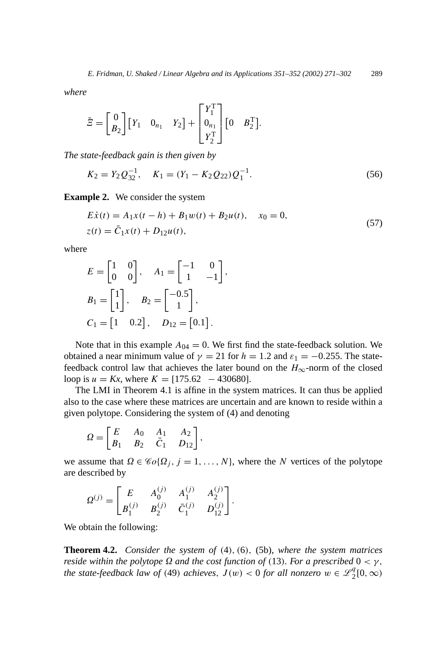*where*

$$
\bar{\Xi} = \begin{bmatrix} 0 \\ B_2 \end{bmatrix} \begin{bmatrix} Y_1 & 0_{n_1} & Y_2 \end{bmatrix} + \begin{bmatrix} Y_1^T \\ 0_{n_1} \\ Y_2^T \end{bmatrix} \begin{bmatrix} 0 & B_2^T \end{bmatrix}.
$$

*The state-feedback gain is then given by*

$$
K_2 = Y_2 Q_{32}^{-1}, \quad K_1 = (Y_1 - K_2 Q_{22}) Q_1^{-1}.
$$
\n
$$
(56)
$$

**Example 2.** We consider the system

$$
E\dot{x}(t) = A_1x(t - h) + B_1w(t) + B_2u(t), \quad x_0 = 0,
$$
  
\n
$$
z(t) = \bar{C}_1x(t) + D_{12}u(t),
$$
\n(57)

where

$$
E = \begin{bmatrix} 1 & 0 \\ 0 & 0 \end{bmatrix}, \quad A_1 = \begin{bmatrix} -1 & 0 \\ 1 & -1 \end{bmatrix},
$$
  
\n
$$
B_1 = \begin{bmatrix} 1 \\ 1 \end{bmatrix}, \quad B_2 = \begin{bmatrix} -0.5 \\ 1 \end{bmatrix},
$$
  
\n
$$
C_1 = \begin{bmatrix} 1 & 0.2 \end{bmatrix}, \quad D_{12} = \begin{bmatrix} 0.1 \end{bmatrix}.
$$

Note that in this example  $A_{04} = 0$ . We first find the state-feedback solution. We obtained a near minimum value of  $\gamma = 21$  for  $h = 1.2$  and  $\varepsilon_1 = -0.255$ . The statefeedback control law that achieves the later bound on the  $H_{\infty}$ -norm of the closed loop is  $u = Kx$ , where  $K = [175.62 - 430680]$ .

The LMI in Theorem 4.1 is affine in the system matrices. It can thus be applied also to the case where these matrices are uncertain and are known to reside within a given polytope. Considering the system of (4) and denoting

$$
\Omega = \begin{bmatrix} E & A_0 & A_1 & A_2 \\ B_1 & B_2 & \bar{C}_1 & D_{12} \end{bmatrix},
$$

we assume that  $\Omega \in \mathcal{C}_0(\Omega_j, j = 1, \ldots, N)$ , where the *N* vertices of the polytope are described by

$$
\Omega^{(j)} = \begin{bmatrix} E & A_0^{(j)} & A_1^{(j)} & A_2^{(j)} \\ B_1^{(j)} & B_2^{(j)} & \bar{C}_1^{(j)} & D_{12}^{(j)} \end{bmatrix}.
$$

We obtain the following:

**Theorem 4.2.** *Consider the system of (*4*), (*6*),* (5b), *where the system matrices reside within the polytope*  $\Omega$  *and the cost function of* (13)*. For a prescribed*  $0 < \gamma$ *, the state-feedback law of* (49) *achieves*,  $J(w) < 0$  *for all nonzero*  $w \in \mathcal{L}_2^q[0,\infty)$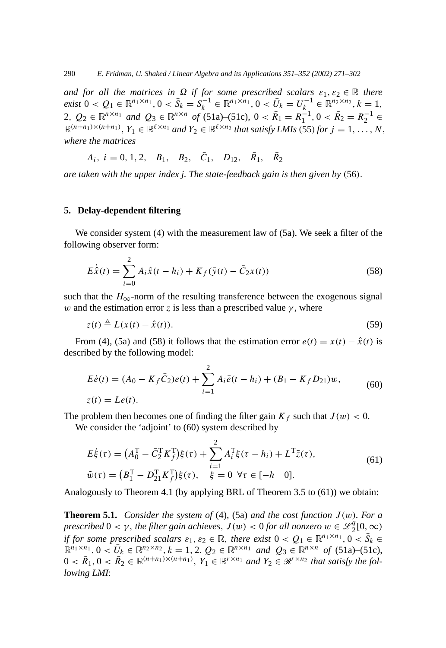$\alpha$  *and for all the matrices in*  $\Omega$  *if for some prescribed scalars*  $\varepsilon_1, \varepsilon_2 \in \mathbb{R}$  *there* exist  $0 < Q_1 \in \mathbb{R}^{n_1 \times n_1}, 0 < \bar{S}_k = S_k^{-1} \in \mathbb{R}^{n_1 \times n_1}, 0 < \bar{U}_k = U_k^{-1} \in \mathbb{R}^{n_2 \times n_2}, k = 1,$ 2,  $Q_2 \in \mathbb{R}^{n \times n_1}$  and  $Q_3 \in \mathbb{R}^{n \times n}$  of (51a)–(51c),  $0 < \bar{R}_1 = R_1^{-1}$ ,  $0 < \bar{R}_2 = R_2^{-1}$  $\mathbb{R}^{(n+n_1)\times(n+n_1)}$ ,  $Y_1 \in \mathbb{R}^{\ell \times n_1}$  and  $Y_2 \in \mathbb{R}^{\ell \times n_2}$  that satisfy LMIs (55) for  $j = 1, \ldots, N$ , *where the matrices*

 $A_i$ ,  $i = 0, 1, 2, B_1, B_2, \bar{C}_1, D_{12}, \bar{R}_1, \bar{R}_2$ 

*are taken with the upper index j. The state-feedback gain is then given by (*56*).*

## **5. Delay-dependent filtering**

We consider system (4) with the measurement law of (5a). We seek a filter of the following observer form:

$$
E\dot{\hat{x}}(t) = \sum_{i=0}^{2} A_i \hat{x}(t - h_i) + K_f(\bar{y}(t) - \bar{C}_2 x(t))
$$
\n(58)

such that the  $H_{\infty}$ -norm of the resulting transference between the exogenous signal *w* and the estimation error *z* is less than a prescribed value  $\gamma$ , where

$$
z(t) \triangleq L(x(t) - \hat{x}(t)).
$$
\n(59)

From (4), (5a) and (58) it follows that the estimation error  $e(t) = x(t) - \hat{x}(t)$  is described by the following model:

$$
E\dot{e}(t) = (A_0 - K_f \bar{C}_2)e(t) + \sum_{i=1}^{2} A_i \bar{e}(t - h_i) + (B_1 - K_f D_{21})w,
$$
  
\n
$$
z(t) = Le(t).
$$
\n(60)

The problem then becomes one of finding the filter gain  $K_f$  such that  $J(w) < 0$ .

We consider the 'adjoint' to (60) system described by

$$
E\dot{\xi}(\tau) = (A_0^{\mathrm{T}} - \bar{C}_2^{\mathrm{T}} K_f^{\mathrm{T}})\xi(\tau) + \sum_{i=1}^{2} A_i^{\mathrm{T}} \xi(\tau - h_i) + L^{\mathrm{T}} \tilde{z}(\tau),
$$
  
\n
$$
\tilde{w}(\tau) = (B_1^{\mathrm{T}} - D_{21}^{\mathrm{T}} K_f^{\mathrm{T}})\xi(\tau), \quad \xi = 0 \ \forall \tau \in [-h \quad 0].
$$
\n(61)

Analogously to Theorem 4.1 (by applying BRL of Theorem 3.5 to (61)) we obtain:

**Theorem 5.1.** *Consider the system of* (4), (5a) *and the cost function*  $J(w)$ *. For a prescribed*  $0 < \gamma$ *, the filter gain achieves,*  $J(w) < 0$  *for all nonzero*  $w \in \mathscr{L}_2^q[0,\infty)$ *if for some prescribed scalars*  $\varepsilon_1, \varepsilon_2 \in \mathbb{R}$ , *there exist*  $0 < Q_1 \in \mathbb{R}^{n_1 \times n_1}, 0 < \overline{S}_k \in$  $\mathbb{R}^{n_1 \times n_1}, 0 < \bar{U}_k \in \mathbb{R}^{n_2 \times n_2}, k = 1, 2, Q_2 \in \mathbb{R}^{n \times n_1}$  and  $Q_3 \in \mathbb{R}^{n \times n}$  of (51a)–(51c),  $0 < \overline{R}_1, 0 < \overline{R}_2 \in \mathbb{R}^{(n+n_1)\times(n+n_1)}, Y_1 \in \mathbb{R}^{r \times n_1}$  and  $Y_2 \in \mathcal{R}^{r \times n_2}$  that satisfy the fol*lowing LMI*: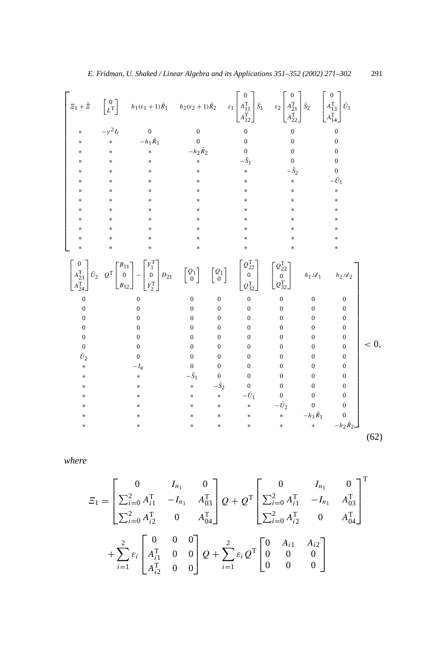<sup>1</sup> <sup>+</sup> ¯ 0 *L*T *<sup>h</sup>*1*(ε*<sup>1</sup> <sup>+</sup> <sup>1</sup>*)R*¯ <sup>1</sup> *<sup>h</sup>*2*(ε*<sup>2</sup> <sup>+</sup> <sup>1</sup>*)R*¯ 2 *ε*1 0 *A*T 11 *A*T 12 *S*¯ 1 *ε*2 0 *A*T 21 *A*T 22 *S*¯ 2 0 *A*T 13 *A*T 14 *U*¯ 1 ∗ −*γ* <sup>2</sup>*Ir* 0 0 0 00 ∗∗−*h*1*R*¯ 1 0 0 00 ∗∗ ∗ −*h*2*R*¯ 2 0 00 ∗∗ ∗ ∗ −*S*¯ 1 0 0 ∗∗ ∗ ∗ ∗ −*S*¯ 2 0 ∗∗ ∗ ∗ ∗ ∗ −*U*¯ 1 ∗∗ ∗ ∗ ∗ ∗ ∗ ∗∗ ∗ ∗ ∗ ∗ ∗ ∗∗ ∗ ∗ ∗ ∗ ∗ ∗∗ ∗ ∗ ∗ ∗ ∗ ∗∗ ∗ ∗ ∗ ∗ ∗ ∗∗ ∗ ∗ ∗ ∗ ∗ ∗∗ ∗ ∗ ∗ ∗ ∗ 0 *A*T 23 *A*T 24 *U*¯ <sup>2</sup> *<sup>Q</sup>*<sup>T</sup> *B*11 0 *B*12 − *Y* T 1 0 *Y* T 2 *<sup>D</sup>*<sup>21</sup> *Q*1 0 *Q*1 0 *Q*<sup>T</sup> 22 0 *Q*<sup>T</sup> 32 *Q*<sup>T</sup> 22 0 *Q*<sup>T</sup> 32 *h*1A1 *h*2A2 0 0 00 0 0 0 0 0 0 00 0 0 0 0 0 0 00 0 0 0 0 0 0 00 0 0 0 0 0 0 00 0 0 0 0 0 0 00 0 0 0 0 *U*¯ 2 0 00 0 0 0 0 ∗ −*Iq* 00 0 0 0 0 ∗ ∗−*S*¯ 1 00 0 0 0 ∗ ∗ ∗−*S*¯ 2 0 000 ∗ ∗ ∗ ∗−*U*¯ 1 000 ∗ ∗ ∗∗ ∗−*U*¯ 2 0 0 ∗ ∗ ∗ ∗ ∗ ∗−*h*1*R*¯ 1 0 ∗ ∗ ∗ ∗ ∗ ∗ ∗−*h*2*R*¯ 2 *<* 0*,* (62)

*where*

$$
E_{1} = \begin{bmatrix} 0 & I_{n_{1}} & 0 \\ \sum_{i=0}^{2} A_{i1}^{T} & -I_{n_{1}} & A_{03}^{T} \\ \sum_{i=0}^{2} A_{i2}^{T} & 0 & A_{04}^{T} \end{bmatrix} Q + Q^{T} \begin{bmatrix} 0 & I_{n_{1}} & 0 \\ \sum_{i=0}^{2} A_{i1}^{T} & -I_{n_{1}} & A_{03}^{T} \\ \sum_{i=0}^{2} A_{i2}^{T} & 0 & A_{04}^{T} \end{bmatrix}^{T}
$$

$$
+ \sum_{i=1}^{2} \varepsilon_{i} \begin{bmatrix} 0 & 0 & 0 \\ A_{i1}^{T} & 0 & 0 \\ A_{i2}^{T} & 0 & 0 \end{bmatrix} Q + \sum_{i=1}^{2} \varepsilon_{i} Q^{T} \begin{bmatrix} 0 & A_{i1} & A_{i2} \\ 0 & 0 & 0 \\ 0 & 0 & 0 \end{bmatrix}
$$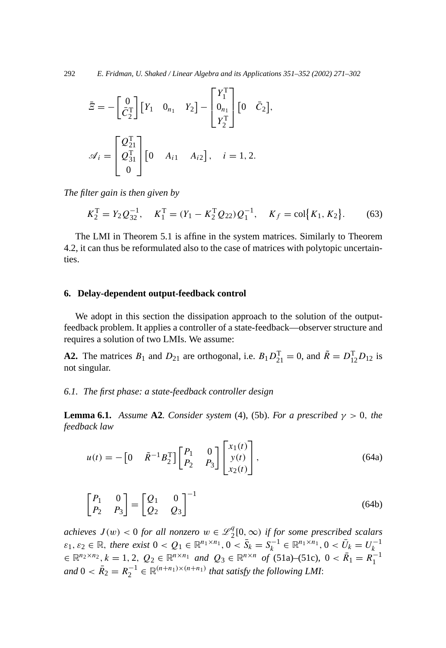292 *E. Fridman, U. Shaked / Linear Algebra and its Applications 351–352 (2002) 271–302*

$$
\bar{E} = -\begin{bmatrix} 0 \\ \bar{C}_2^{\mathrm{T}} \end{bmatrix} \begin{bmatrix} Y_1 & 0_{n_1} & Y_2 \end{bmatrix} - \begin{bmatrix} Y_1^{\mathrm{T}} \\ 0_{n_1} \\ Y_2^{\mathrm{T}} \end{bmatrix} \begin{bmatrix} 0 & \bar{C}_2 \end{bmatrix},
$$

$$
\mathcal{A}_i = \begin{bmatrix} Q_{21}^{\mathrm{T}} \\ Q_{31}^{\mathrm{T}} \\ 0 \end{bmatrix} \begin{bmatrix} 0 & A_{i1} & A_{i2} \end{bmatrix}, \quad i = 1, 2.
$$

*The filter gain is then given by*

$$
K_2^{\text{T}} = Y_2 Q_{32}^{-1}, \quad K_1^{\text{T}} = (Y_1 - K_2^{\text{T}} Q_{22}) Q_1^{-1}, \quad K_f = \text{col}\big\{K_1, K_2\big\}.
$$
 (63)

The LMI in Theorem 5.1 is affine in the system matrices. Similarly to Theorem 4.2, it can thus be reformulated also to the case of matrices with polytopic uncertainties.

## **6. Delay-dependent output-feedback control**

We adopt in this section the dissipation approach to the solution of the outputfeedback problem. It applies a controller of a state-feedback—observer structure and requires a solution of two LMIs. We assume:

**A2.** The matrices  $B_1$  and  $D_{21}$  are orthogonal, i.e.  $B_1 D_{21}^T = 0$ , and  $\tilde{R} = D_{12}^T D_{12}$  is not singular.

## *6.1. The first phase: a state-feedback controller design*

**Lemma 6.1.** *Assume* **A2***. Consider system* (4), (5b). *For a prescribed*  $\gamma > 0$ *, the feedback law*

$$
u(t) = -\begin{bmatrix} 0 & \tilde{R}^{-1} B_2^{\mathrm{T}} \end{bmatrix} \begin{bmatrix} P_1 & 0 \\ P_2 & P_3 \end{bmatrix} \begin{bmatrix} x_1(t) \\ y(t) \\ x_2(t) \end{bmatrix},\tag{64a}
$$

$$
\begin{bmatrix} P_1 & 0 \\ P_2 & P_3 \end{bmatrix} = \begin{bmatrix} Q_1 & 0 \\ Q_2 & Q_3 \end{bmatrix}^{-1} \tag{64b}
$$

*achieves*  $J(w) < 0$  *for all nonzero*  $w \in \mathcal{L}_2^q[0,\infty)$  *if for some prescribed scalars*  $\varepsilon_1, \varepsilon_2 \in \mathbb{R}$ , there exist  $0 < Q_1 \in \mathbb{R}^{n_1 \times n_1}$ ,  $0 < \bar{S}_k = S_k^{-1} \in \mathbb{R}^{n_1 \times n_1}$ ,  $0 < \bar{U}_k = U_k^{-1}$ <br> $\in \mathbb{R}^{n_2 \times n_2}$ ,  $k = 1, 2, Q_2 \in \mathbb{R}^{n \times n_1}$  and  $Q_3 \in \mathbb{R}^{n \times n}$  of (51a)–(51c),  $0 < \bar{R}_1 = R_1$  $and$   $0 < \overline{R}_2 = R_2^{-1} \in \mathbb{R}^{(n+n_1)\times(n+n_1)}$  *that satisfy the following LMI*: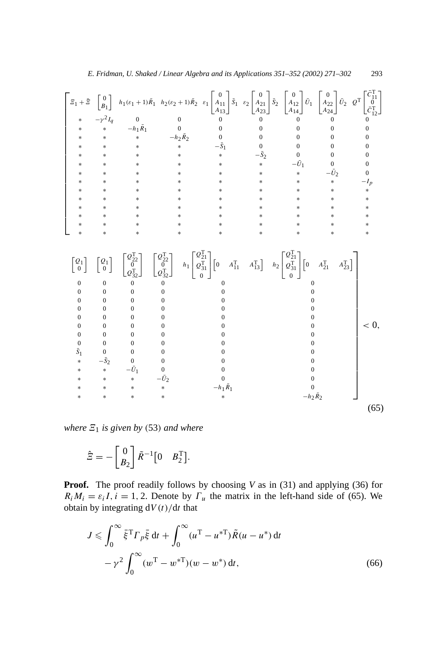$$
\begin{bmatrix}\n\Xi_{1} + \bar{\Xi} \begin{bmatrix} 0 \\ p_{1} \end{bmatrix} & h_{1}(\varepsilon_{1} + 1) \bar{R}_{1} & h_{2}(\varepsilon_{2} + 1) \bar{R}_{2} & \varepsilon_{1} \begin{bmatrix} 0 \\ A_{11} \\ A_{22} \\ A_{23} \end{bmatrix} \bar{S}_{2} \begin{bmatrix} 0 \\ A_{22} \\ A_{23} \\ A_{24} \end{bmatrix} \bar{U}_{1} \begin{bmatrix} 0 \\ A_{22} \\ A_{23} \\ A_{24} \end{bmatrix} \bar{U}_{2} & Q^{T} \begin{bmatrix} \bar{C}_{11}^{T} \\ \bar{C}_{12}^{T} \\ \bar{C}_{12}^{T} \end{bmatrix} \\
\ast & \ast & -h_{1} \bar{R}_{1} & 0 & 0 & 0 & 0 & 0 & 0 \\
* & \ast & \ast & \ast & -\bar{S}_{1} & 0 & 0 & 0 & 0 & 0 \\
* & \ast & \ast & \ast & \ast & \ast & -\bar{S}_{1} & 0 & 0 & 0 & 0 \\
* & \ast & \ast & \ast & \ast & \ast & \ast & -\bar{S}_{1} & 0 & 0 & 0 & 0 \\
* & \ast & \ast & \ast & \ast & \ast & \ast & \ast & \ast & \ast \\
* & \ast & \ast & \ast & \ast & \ast & \ast & \ast & \ast & \ast \\
* & \ast & \ast & \ast & \ast & \ast & \ast & \ast & \ast & \ast \\
* & \ast & \ast & \ast & \ast & \ast & \ast & \ast & \ast & \ast \\
* & \ast & \ast & \ast & \ast & \ast & \ast & \ast & \ast & \ast \\
* & \ast & \ast & \ast & \ast & \ast & \ast & \ast & \ast \\
* & \ast & \ast & \ast & \ast & \ast & \ast & \ast & \ast \\
* & \ast & \ast & \ast & \ast & \ast & \ast & \ast & \ast \\
* & \ast & \ast & \ast & \ast & \ast & \ast & \ast & \ast \\
* & \ast & \ast & \ast & \ast & \ast & \ast & \ast & \ast \\
* & \ast & \ast & \ast & \ast & \ast & \ast & \ast & \ast \\
* & \ast & \ast & \ast & \ast & \ast & \ast & \ast & \ast \\
* & \ast & \ast & \ast & \ast & \ast & \ast & \
$$

*where*  $\mathbb{E}_1$  *is given by* (53) *and where* 

$$
\hat{\Xi} = -\begin{bmatrix} 0 \\ B_2 \end{bmatrix} \tilde{R}^{-1} \begin{bmatrix} 0 & B_2^{\mathrm{T}} \end{bmatrix}.
$$

**Proof.** The proof readily follows by choosing *V* as in (31) and applying (36) for  $R_i M_i = \varepsilon_i I$ , *i* = 1, 2. Denote by  $\Gamma_u$  the matrix in the left-hand side of (65). We obtain by integrating d*V (t)/*d*t* that

$$
J \leqslant \int_0^\infty \bar{\xi}^{\rm T} \Gamma_p \bar{\xi} \, dt + \int_0^\infty (u^{\rm T} - u^{* \rm T}) \tilde{R}(u - u^*) \, dt - \gamma^2 \int_0^\infty (w^{\rm T} - w^{* \rm T}) (w - w^*) \, dt,
$$
\n(66)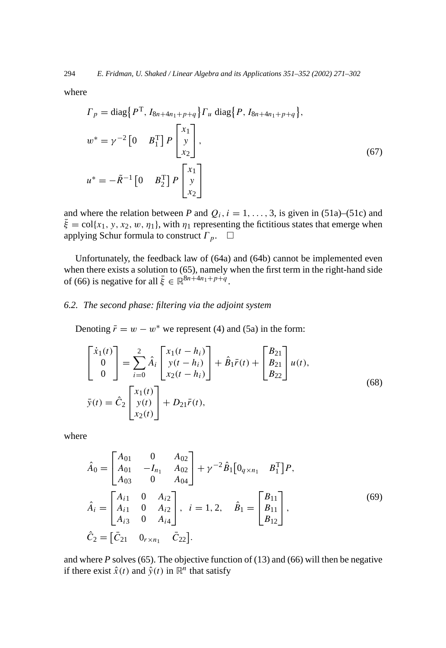where

$$
\Gamma_p = \text{diag}\left\{P^{\mathrm{T}}, I_{8n+4n_1+p+q}\right\} \Gamma_u \text{ diag}\left\{P, I_{8n+4n_1+p+q}\right\},\
$$
\n
$$
w^* = \gamma^{-2} \begin{bmatrix} 0 & B_1^{\mathrm{T}} \end{bmatrix} P \begin{bmatrix} x_1 \\ y \\ x_2 \end{bmatrix},
$$
\n
$$
u^* = -\tilde{R}^{-1} \begin{bmatrix} 0 & B_2^{\mathrm{T}} \end{bmatrix} P \begin{bmatrix} x_1 \\ y \\ x_2 \end{bmatrix}.
$$
\n(67)

and where the relation between *P* and  $Q_i$ ,  $i = 1, \ldots, 3$ , is given in (51a)–(51c) and  $\bar{\xi} = \text{col}\{x_1, y, x_2, w, \eta_1\}$ , with  $\eta_1$  representing the fictitious states that emerge when applying Schur formula to construct  $\Gamma_p$ .  $\Box$ 

Unfortunately, the feedback law of (64a) and (64b) cannot be implemented even when there exists a solution to (65), namely when the first term in the right-hand side of (66) is negative for all  $\bar{\xi} \in \mathbb{R}^{8n+4n_1+p+q}$ .

## *6.2. The second phase: filtering via the adjoint system*

Denoting  $\bar{r} = w - w^*$  we represent (4) and (5a) in the form:

$$
\begin{bmatrix} \dot{x}_1(t) \\ 0 \\ 0 \end{bmatrix} = \sum_{i=0}^2 \hat{A}_i \begin{bmatrix} x_1(t-h_i) \\ y(t-h_i) \\ x_2(t-h_i) \end{bmatrix} + \hat{B}_1 \bar{r}(t) + \begin{bmatrix} B_{21} \\ B_{21} \\ B_{22} \end{bmatrix} u(t),
$$
  
\n
$$
\bar{y}(t) = \hat{C}_2 \begin{bmatrix} x_1(t) \\ y(t) \\ x_2(t) \end{bmatrix} + D_{21} \bar{r}(t),
$$
\n(68)

where

$$
\hat{A}_0 = \begin{bmatrix} A_{01} & 0 & A_{02} \\ A_{01} & -I_{n_1} & A_{02} \\ A_{03} & 0 & A_{04} \end{bmatrix} + \gamma^{-2} \hat{B}_1 \begin{bmatrix} 0_{q \times n_1} & B_1^{\mathrm{T}} \end{bmatrix} P,
$$
  
\n
$$
\hat{A}_i = \begin{bmatrix} A_{i1} & 0 & A_{i2} \\ A_{i1} & 0 & A_{i2} \\ A_{i3} & 0 & A_{i4} \end{bmatrix}, \quad i = 1, 2, \quad \hat{B}_1 = \begin{bmatrix} B_{11} \\ B_{11} \\ B_{12} \end{bmatrix},
$$
  
\n
$$
\hat{C}_2 = \begin{bmatrix} \bar{C}_{21} & 0_{r \times n_1} & \bar{C}_{22} \end{bmatrix}.
$$
\n(69)

and where *P* solves (65). The objective function of (13) and (66) will then be negative if there exist  $\hat{x}(t)$  and  $\hat{y}(t)$  in  $\mathbb{R}^n$  that satisfy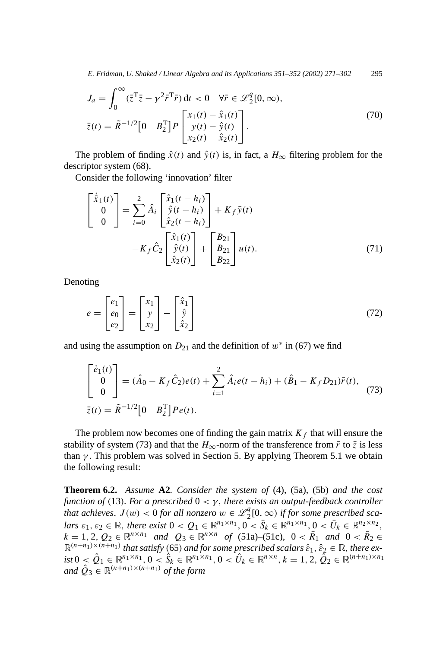*E. Fridman, U. Shaked / Linear Algebra and its Applications 351–352 (2002) 271–302* 295

$$
J_a = \int_0^\infty (\bar{z}^T \bar{z} - \gamma^2 \bar{r}^T \bar{r}) dt < 0 \quad \forall \bar{r} \in \mathcal{L}_2^q[0, \infty),
$$
  

$$
\bar{z}(t) = \tilde{R}^{-1/2} [0 \quad B_2^T] P \begin{bmatrix} x_1(t) - \hat{x}_1(t) \\ y(t) - \hat{y}(t) \\ x_2(t) - \hat{x}_2(t) \end{bmatrix}.
$$
 (70)

The problem of finding  $\hat{x}(t)$  and  $\hat{y}(t)$  is, in fact, a  $H_{\infty}$  filtering problem for the descriptor system (68).

Consider the following 'innovation' filter

$$
\begin{bmatrix} \dot{\hat{x}}_1(t) \\ 0 \\ 0 \end{bmatrix} = \sum_{i=0}^2 \hat{A}_i \begin{bmatrix} \hat{x}_1(t-h_i) \\ \hat{y}(t-h_i) \\ \hat{x}_2(t-h_i) \end{bmatrix} + K_f \bar{y}(t) - K_f \hat{C}_2 \begin{bmatrix} \hat{x}_1(t) \\ \hat{y}(t) \\ \hat{x}_2(t) \end{bmatrix} + \begin{bmatrix} B_{21} \\ B_{21} \\ B_{22} \end{bmatrix} u(t).
$$
 (71)

Denoting

$$
e = \begin{bmatrix} e_1 \\ e_0 \\ e_2 \end{bmatrix} = \begin{bmatrix} x_1 \\ y \\ x_2 \end{bmatrix} - \begin{bmatrix} \hat{x}_1 \\ \hat{y} \\ \hat{x}_2 \end{bmatrix}
$$
(72)

and using the assumption on  $D_{21}$  and the definition of  $w^*$  in (67) we find

$$
\begin{bmatrix} \dot{e}_1(t) \\ 0 \\ 0 \end{bmatrix} = (\hat{A}_0 - K_f \hat{C}_2) e(t) + \sum_{i=1}^2 \hat{A}_i e(t - h_i) + (\hat{B}_1 - K_f D_{21}) \bar{r}(t),
$$
  
\n
$$
\bar{z}(t) = \tilde{R}^{-1/2} \begin{bmatrix} 0 & B_2^{\mathrm{T}} \end{bmatrix} P e(t).
$$
\n(73)

The problem now becomes one of finding the gain matrix  $K_f$  that will ensure the stability of system (73) and that the  $H_{\infty}$ -norm of the transference from  $\bar{r}$  to  $\bar{z}$  is less than  $\gamma$ . This problem was solved in Section 5. By applying Theorem 5.1 we obtain the following result:

**Theorem 6.2.** *Assume* **A2***. Consider the system of* (4), (5a), (5b) *and the cost function of* (13)*. For a prescribed*  $0 < \gamma$ *, there exists an output-feedback controller that achieves,*  $J(w) < 0$  *for all nonzero*  $w \in \mathcal{L}_2^q[0,\infty)$  *if for some prescribed sca*lars  $\varepsilon_1, \varepsilon_2 \in \mathbb{R}$ , there exist  $0 < Q_1 \in \mathbb{R}^{n_1 \times n_1}$ ,  $0 < \overline{S}_k \in \mathbb{R}^{n_1 \times n_1}$ ,  $0 < \overline{U}_k \in \mathbb{R}^{n_2 \times n_2}$ ,  $k = 1, 2, Q_2 \in \mathbb{R}^{n \times n_1}$  *and*  $Q_3 \in \mathbb{R}^{n \times n}$  *of* (51a)–(51c),  $0 < \overline{R}_1$  *and*  $0 < \overline{R}_2 \in$  $\mathbb{R}^{(n+n_1)\times(n+n_1)}$  *that satisfy* (65) *and for some prescribed scalars*  $\hat{\epsilon}_1, \hat{\epsilon}_2 \in \mathbb{R}$ *, there ex*ist  $0 \le \hat{Q}_1 \in \mathbb{R}^{n_1 \times n_1}, 0 \le \hat{S}_k \in \mathbb{R}^{n_1 \times n_1}, 0 \le \hat{U}_k \in \mathbb{R}^{n \times n}, k = 1, 2, \tilde{Q}_2 \in \mathbb{R}^{(n+n_1) \times n_1}$ *and*  $\hat{O}_3 \in \mathbb{R}^{(n+n_1)\times(n+n_1)}$  *of the form*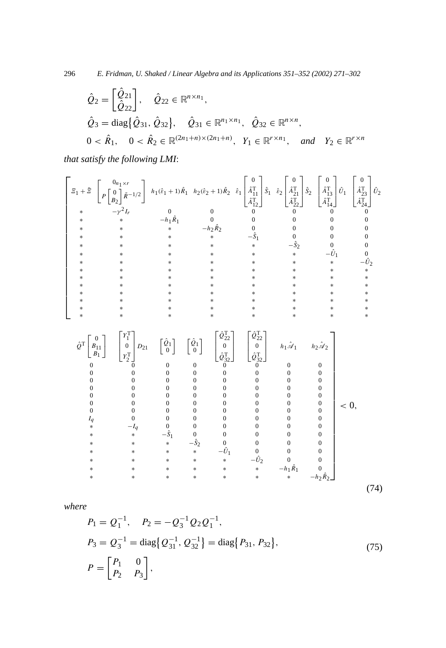296 *E. Fridman, U. Shaked / Linear Algebra and its Applications 351–352 (2002) 271–302*

$$
\hat{Q}_2 = \begin{bmatrix} \hat{Q}_{21} \\ \hat{Q}_{22} \end{bmatrix}, \quad \hat{Q}_{22} \in \mathbb{R}^{n \times n_1},
$$
  
\n
$$
\hat{Q}_3 = \text{diag}\{\hat{Q}_{31}, \hat{Q}_{32}\}, \quad \hat{Q}_{31} \in \mathbb{R}^{n_1 \times n_1}, \quad \hat{Q}_{32} \in \mathbb{R}^{n \times n},
$$
  
\n
$$
0 < \hat{R}_1, \quad 0 < \hat{R}_2 \in \mathbb{R}^{(2n_1 + n) \times (2n_1 + n)}, \quad Y_1 \in \mathbb{R}^{r \times n_1}, \quad \text{and} \quad Y_2 \in \mathbb{R}^{r \times n}
$$

*that satisfy the following LMI*:

 ∗ ∗ ∗ ∗ ∗ ∗ ∗∗ <sup>1</sup> <sup>+</sup> ¯ 0*n*1×*<sup>r</sup> P* 0 *B*2 *R*˜−1*/*<sup>2</sup> *<sup>h</sup>*1*(ε*ˆ<sup>1</sup> <sup>+</sup> <sup>1</sup>*)R*<sup>ˆ</sup> <sup>1</sup> *<sup>h</sup>*2*(ε*ˆ<sup>2</sup> <sup>+</sup> <sup>1</sup>*)R*<sup>ˆ</sup> 2 *ε*ˆ1 0 *A*ˆT 11 *A*ˆT 12 *S*ˆ 1 *ε*ˆ2 0 *A*ˆT 21 *A*ˆT 22 *S*ˆ 2 0 *A*ˆT 13 *A*ˆT 14 *U*ˆ 1 0 *A*ˆT 23 *A*ˆT 24 *U*ˆ 2 ∗ −*γ* <sup>2</sup>*Ir* 0 0 0 0 00 ∗∗−*h*1*R*<sup>ˆ</sup> 1 0 0 0 00 ∗ ∗ ∗−*h*2*R*<sup>ˆ</sup> 2 0 0 00 ∗ ∗ ∗ ∗−*S*ˆ 1 0 00 ∗ ∗ ∗ ∗ ∗−*S*ˆ 2 0 0 ∗ ∗ ∗ ∗ ∗ ∗−*U*ˆ 1 0 ∗ ∗ ∗ ∗ ∗ ∗ ∗−*U*ˆ 2 ∗ ∗ ∗ ∗ ∗ ∗ ∗∗ ∗ ∗ ∗ ∗ ∗ ∗ ∗∗ ∗ ∗ ∗ ∗ ∗ ∗ ∗∗ ∗ ∗ ∗ ∗ ∗ ∗ ∗∗ ∗ ∗ ∗ ∗ ∗ ∗ ∗∗ ∗ ∗ ∗ ∗ ∗ ∗ ∗∗

$$
\hat{\mathcal{Q}}^{T}\begin{bmatrix} 0 \\ B_{11} \\ B_{11} \end{bmatrix} \begin{bmatrix} Y_{1}^{T} \\ 0 \\ Y_{2}^{T} \end{bmatrix} D_{21} \begin{bmatrix} \hat{\mathcal{Q}}_{1} \\ 0 \end{bmatrix} \begin{bmatrix} \hat{\mathcal{Q}}_{1} \\ 0 \end{bmatrix} \begin{bmatrix} \hat{\mathcal{Q}}_{22} \\ 0 \\ \hat{\mathcal{Q}}_{32}^{T} \end{bmatrix} \begin{bmatrix} \hat{\mathcal{Q}}_{12} \\ 0 \\ \hat{\mathcal{Q}}_{32}^{T} \end{bmatrix}
$$
\n
$$
\begin{bmatrix} h_{11} \hat{\mathcal{A}}_{11} & h_{22} \hat{\mathcal{A}}_{22} \\ 0 & 0 & 0 \\ 0 & 0 & 0 \\ 0 & 0 & 0 \\ 0 & 0 & 0 & 0 \\ 0 & 0 & 0 & 0 \\ 0 & 0 & 0 & 0 \\ 0 & 0 & 0 & 0 \\ 0 & 0 & 0 & 0 \\ 0 & 0 & 0 & 0 \\ 0 & 0 & 0 & 0 \\ 0 & 0 & 0 & 0 \\ 0 & 0 & 0 & 0 \\ 0 & 0 & 0 & 0 \\ 0 & 0 & 0 & 0 \\ 0 & 0 & 0 & 0 \\ 0 & 0 & 0 & 0 \\ 0 & 0 & 0 & 0 \\ 0 & 0 & 0 & 0 \\ 0 & 0 & 0 & 0 \\ 0 & 0 & 0 & 0 \\ 0 & 0 & 0 & 0 \\ 0 & 0 & 0 & 0 \\ 0 & 0 & 0 & 0 \\ 0 & 0 & 0 & 0 \\ 0 & 0 & 0 & 0 \\ 0 & 0 & 0 & 0 \\ 0 & 0 & 0 & 0 \\ 0 & 0 & 0 & 0 \\ 0 & 0 & 0 & 0 \\ 0 & 0 & 0 & 0 \\ 0 & 0 & 0 & 0 \\ 0 & 0 & 0 & 0 \\ 0 & 0 & 0 & 0 \\ 0 & 0 & 0 & 0 \\ 0 & 0 & 0 & 0 \\ 0 & 0 & 0 & 0 \\ 0 & 0 & 0 & 0 \\ 0 & 0 & 0 & 0 \\ 0 & 0 & 0 & 0 \\ 0 & 0 & 0 & 0 \\ 0 & 0 & 0 & 0 \\ 0 & 0 & 0 & 0 \\ 0 & 0 &
$$

*where*

$$
P_1 = Q_1^{-1}, \quad P_2 = -Q_3^{-1} Q_2 Q_1^{-1},
$$
  
\n
$$
P_3 = Q_3^{-1} = \text{diag} \{ Q_{31}^{-1}, Q_{32}^{-1} \} = \text{diag} \{ P_{31}, P_{32} \},
$$
  
\n
$$
P = \begin{bmatrix} P_1 & 0 \\ P_2 & P_3 \end{bmatrix},
$$
\n(75)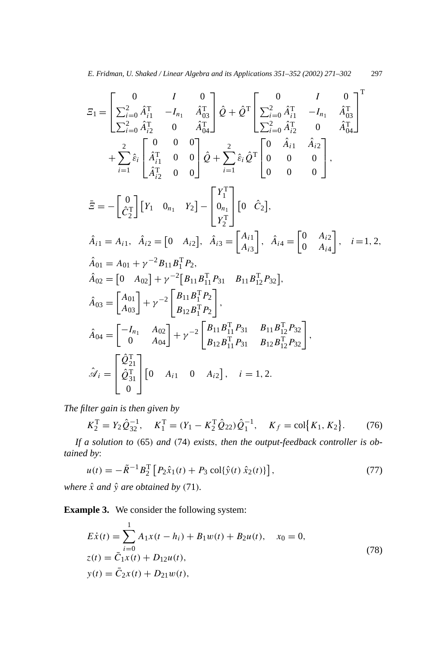$$
\begin{split}\n\Xi_{1} &= \begin{bmatrix}\n0 & I & 0 \\
\sum_{i=0}^{2} \hat{A}_{i1}^{\mathrm{T}} & -I_{n_{1}} & \hat{A}_{03}^{\mathrm{T}} \\
\sum_{i=0}^{2} \hat{A}_{i2}^{\mathrm{T}} & 0 & \hat{A}_{04}^{\mathrm{T}}\n\end{bmatrix}\n\hat{Q} + \hat{Q}^{\mathrm{T}} \begin{bmatrix}\n0 & I & 0 \\
\sum_{i=0}^{2} \hat{A}_{i1}^{\mathrm{T}} & -I_{n_{1}} & \hat{A}_{03}^{\mathrm{T}} \\
\sum_{i=0}^{2} \hat{A}_{i2}^{\mathrm{T}} & 0 & \hat{A}_{04}^{\mathrm{T}}\n\end{bmatrix}^{T} \\
&+ \sum_{i=1}^{2} \hat{\varepsilon}_{i} \begin{bmatrix}\n0 & 0 & 0 \\
\hat{A}_{i1}^{\mathrm{T}} & 0 & 0 \\
\hat{A}_{i2}^{\mathrm{T}} & 0 & 0\n\end{bmatrix}\n\hat{Q} + \sum_{i=1}^{2} \hat{\varepsilon}_{i} \hat{Q}^{\mathrm{T}} \begin{bmatrix}\n0 & \hat{A}_{i1} & \hat{A}_{i2} \\
0 & 0 & 0\n\end{bmatrix}, \\
\tilde{\Xi}_{1} &= -\begin{bmatrix}\n0 \\
\hat{C}_{1}^{\mathrm{T}}\n\end{bmatrix}\n\begin{bmatrix}\nY_{1} & 0_{n_{1}} & Y_{2}\n\end{bmatrix} - \begin{bmatrix}\nY_{1}^{\mathrm{T}} \\
0_{n_{1}} \\
Y_{2}^{\mathrm{T}}\n\end{bmatrix}\n\begin{bmatrix}\n0 & \hat{C}_{2}\n\end{bmatrix}, \\
\hat{A}_{i1} &= A_{i1}, \quad \hat{A}_{i2} = \begin{bmatrix}\n0 & A_{i2}\n\end{bmatrix}, \quad \hat{A}_{i3} = \begin{bmatrix}\nA_{i1} \\
A_{i3}\n\end{bmatrix}, \quad \hat{A}_{i4} = \begin{bmatrix}\n0 & A_{i2} \\
0 & A_{i4}\n\end{bmatrix}, \quad i = 1, 2, \\
\hat{A}_{01} &= A_{
$$

*The filter gain is then given by*

$$
K_2^{\text{T}} = Y_2 \hat{Q}_{32}^{-1}, \quad K_1^{\text{T}} = (Y_1 - K_2^{\text{T}} \hat{Q}_{22}) \hat{Q}_1^{-1}, \quad K_f = \text{col}\big\{K_1, K_2\big\}.
$$
 (76)

*If a solution to (*65*) and (*74*) exists, then the output-feedback controller is obtained by*:

$$
u(t) = -\tilde{R}^{-1}B_2^{\mathrm{T}} [P_2 \hat{x}_1(t) + P_3 \text{ col}\{\hat{y}(t) \hat{x}_2(t)\}],
$$
\n(77)

*where*  $\hat{x}$  *and*  $\hat{y}$  *are obtained by* (71)*.* 

**Example 3.** We consider the following system:

$$
E\dot{x}(t) = \sum_{i=0}^{1} A_1 x(t - h_i) + B_1 w(t) + B_2 u(t), \quad x_0 = 0,
$$
  
\n
$$
z(t) = \bar{C}_1 x(t) + D_{12} u(t),
$$
  
\n
$$
y(t) = \bar{C}_2 x(t) + D_{21} w(t),
$$
\n(78)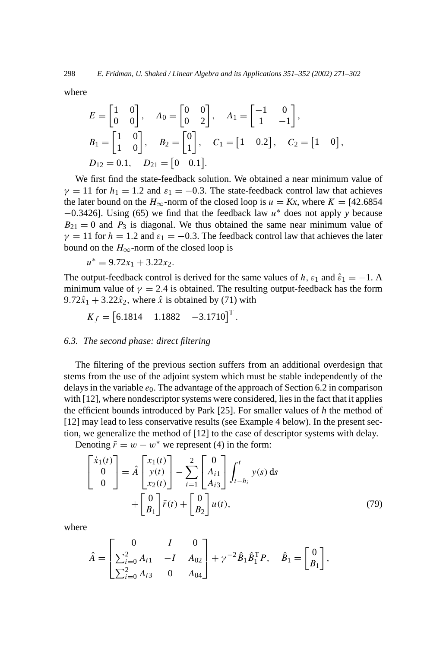where

$$
E = \begin{bmatrix} 1 & 0 \\ 0 & 0 \end{bmatrix}, \quad A_0 = \begin{bmatrix} 0 & 0 \\ 0 & 2 \end{bmatrix}, \quad A_1 = \begin{bmatrix} -1 & 0 \\ 1 & -1 \end{bmatrix},
$$
  
\n
$$
B_1 = \begin{bmatrix} 1 & 0 \\ 1 & 0 \end{bmatrix}, \quad B_2 = \begin{bmatrix} 0 \\ 1 \end{bmatrix}, \quad C_1 = \begin{bmatrix} 1 & 0.2 \end{bmatrix}, \quad C_2 = \begin{bmatrix} 1 & 0 \end{bmatrix},
$$
  
\n
$$
D_{12} = 0.1, \quad D_{21} = \begin{bmatrix} 0 & 0.1 \end{bmatrix}.
$$

We first find the state-feedback solution. We obtained a near minimum value of  $\gamma = 11$  for  $h_1 = 1.2$  and  $\varepsilon_1 = -0.3$ . The state-feedback control law that achieves the later bound on the  $H_{\infty}$ -norm of the closed loop is  $u = Kx$ , where  $K = [42.6854]$ −0*.*3426]. Using (65) we find that the feedback law *u*<sup>∗</sup> does not apply *y* because  $B_{21} = 0$  and  $P_3$  is diagonal. We thus obtained the same near minimum value of  $\gamma = 11$  for  $h = 1.2$  and  $\varepsilon_1 = -0.3$ . The feedback control law that achieves the later bound on the  $H_{\infty}$ -norm of the closed loop is

 $u^* = 9.72x_1 + 3.22x_2$ .

The output-feedback control is derived for the same values of *h*,  $\varepsilon_1$  and  $\hat{\varepsilon}_1 = -1$ . A minimum value of  $\gamma = 2.4$  is obtained. The resulting output-feedback has the form 9.72 $\hat{x}_1$  + 3.22 $\hat{x}_2$ , where  $\hat{x}$  is obtained by (71) with

$$
K_f = \begin{bmatrix} 6.1814 & 1.1882 & -3.1710 \end{bmatrix}^{\mathrm{T}}.
$$

#### *6.3. The second phase: direct filtering*

The filtering of the previous section suffers from an additional overdesign that stems from the use of the adjoint system which must be stable independently of the delays in the variable  $e_0$ . The advantage of the approach of Section 6.2 in comparison with [12], where nondescriptor systems were considered, lies in the fact that it applies the efficient bounds introduced by Park [25]. For smaller values of *h* the method of [12] may lead to less conservative results (see Example 4 below). In the present section, we generalize the method of [12] to the case of descriptor systems with delay.

Denoting  $\bar{r} = w - w^*$  we represent (4) in the form:

$$
\begin{bmatrix} \dot{x}_1(t) \\ 0 \\ 0 \end{bmatrix} = \hat{A} \begin{bmatrix} x_1(t) \\ y(t) \\ x_2(t) \end{bmatrix} - \sum_{i=1}^2 \begin{bmatrix} 0 \\ A_{i1} \\ A_{i3} \end{bmatrix} \int_{t-h_i}^t y(s) ds + \begin{bmatrix} 0 \\ B_1 \end{bmatrix} \bar{r}(t) + \begin{bmatrix} 0 \\ B_2 \end{bmatrix} u(t), \tag{79}
$$

where

$$
\hat{A} = \begin{bmatrix} 0 & I & 0 \\ \sum_{i=0}^{2} A_{i1} & -I & A_{02} \\ \sum_{i=0}^{2} A_{i3} & 0 & A_{04} \end{bmatrix} + \gamma^{-2} \hat{B}_1 \hat{B}_1^{\mathrm{T}} P, \quad \hat{B}_1 = \begin{bmatrix} 0 \\ B_1 \end{bmatrix},
$$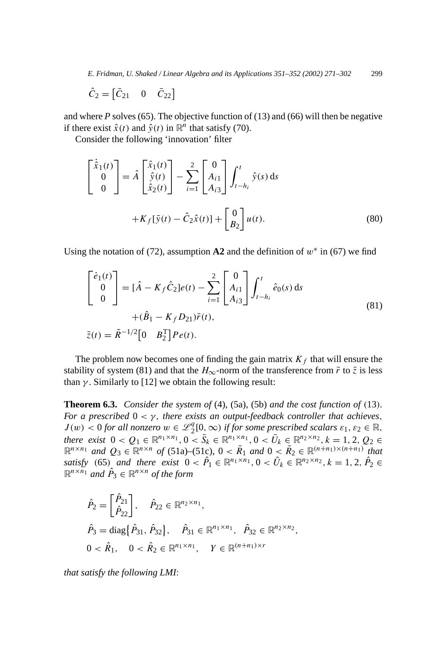*E. Fridman, U. Shaked / Linear Algebra and its Applications 351–352 (2002) 271–302* 299

$$
\hat{C}_2 = \begin{bmatrix} \bar{C}_{21} & 0 & \bar{C}_{22} \end{bmatrix}
$$

and where *P* solves (65). The objective function of (13) and (66) will then be negative if there exist  $\hat{x}(t)$  and  $\hat{y}(t)$  in  $\mathbb{R}^n$  that satisfy (70).

Consider the following 'innovation' filter

$$
\begin{bmatrix} \dot{\hat{x}}_1(t) \\ 0 \\ 0 \end{bmatrix} = \hat{A} \begin{bmatrix} \hat{x}_1(t) \\ \hat{y}(t) \\ \hat{x}_2(t) \end{bmatrix} - \sum_{i=1}^2 \begin{bmatrix} 0 \\ A_{i1} \\ A_{i3} \end{bmatrix} \int_{t-h_i}^t \hat{y}(s) ds
$$

$$
+ K_f[\bar{y}(t) - \hat{C}_2\hat{x}(t)] + \begin{bmatrix} 0 \\ B_2 \end{bmatrix} u(t).
$$
(80)

Using the notation of (72), assumption  $A2$  and the definition of  $w^*$  in (67) we find

$$
\begin{bmatrix} \dot{e}_1(t) \\ 0 \\ 0 \end{bmatrix} = [\hat{A} - K_f \hat{C}_2]e(t) - \sum_{i=1}^2 \begin{bmatrix} 0 \\ A_{i1} \\ A_{i3} \end{bmatrix} \int_{t-h_i}^t \hat{e}_0(s) ds + (\hat{B}_1 - K_f D_{21})\bar{r}(t), \n\bar{z}(t) = \tilde{R}^{-1/2} [0 \quad B_2^{\mathrm{T}}]Pe(t).
$$
\n(81)

The problem now becomes one of finding the gain matrix  $K_f$  that will ensure the stability of system (81) and that the  $H_{\infty}$ -norm of the transference from  $\bar{r}$  to  $\bar{z}$  is less than  $\gamma$ . Similarly to [12] we obtain the following result:

**Theorem 6.3.** *Consider the system of* (4), (5a), (5b) *and the cost function of (*13*). For a prescribed*  $0 < \gamma$ *, there exists an output-feedback controller that achieves,*  $J(w) < 0$  *for all nonzero*  $w \in \mathcal{L}_2^q[0,\infty)$  *if for some prescribed scalars*  $\varepsilon_1, \varepsilon_2 \in \mathbb{R}$ , *there exist*  $0 < Q_1 \in \mathbb{R}^{n_1 \times n_1}, 0 < \overline{S}_k \in \mathbb{R}^{n_1 \times n_1}, 0 < \overline{U}_k \in \mathbb{R}^{n_2 \times n_2}, k = 1, 2, Q_2 \in$  $\mathbb{R}^{n \times n_1}$  *and*  $Q_3 \in \mathbb{R}^{n \times n}$  *of* (51a)–(51c),  $0 < \overline{R}_1$  *and*  $0 < \overline{R}_2 \in \mathbb{R}^{(n+n_1)\times(n+n_1)}$  *that satisfy* (65) *and there exist*  $0 < \hat{P}_1 \in \mathbb{R}^{n_1 \times n_1}, 0 < \hat{U}_k \in \mathbb{R}^{n_2 \times n_2}, k = 1, 2, \hat{P}_2 \in$  $\mathbb{R}^{n \times n_1}$  *and*  $\hat{P}_3 \in \mathbb{R}^{n \times n}$  *of the form* 

$$
\hat{P}_2 = \begin{bmatrix} \hat{P}_{21} \\ \hat{P}_{22} \end{bmatrix}, \quad \hat{P}_{22} \in \mathbb{R}^{n_2 \times n_1},
$$
  
\n
$$
\hat{P}_3 = \text{diag}\{\hat{P}_{31}, \hat{P}_{32}\}, \quad \hat{P}_{31} \in \mathbb{R}^{n_1 \times n_1}, \quad \hat{P}_{32} \in \mathbb{R}^{n_2 \times n_2},
$$
  
\n
$$
0 < \hat{R}_1, \quad 0 < \hat{R}_2 \in \mathbb{R}^{n_1 \times n_1}, \quad Y \in \mathbb{R}^{(n+n_1) \times r}
$$

*that satisfy the following LMI*: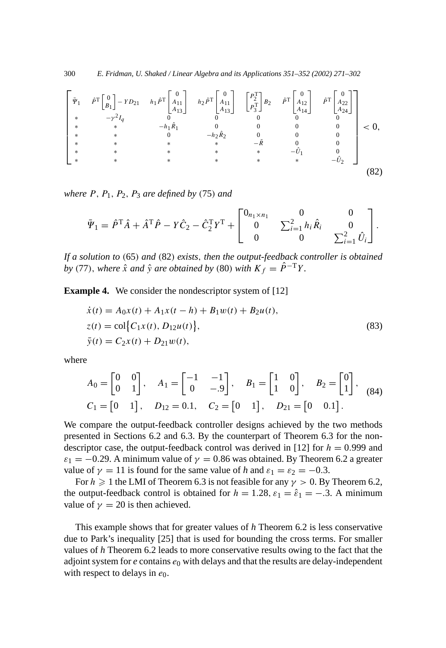300 *E. Fridman, U. Shaked / Linear Algebra and its Applications 351–352 (2002) 271–302*

$$
\begin{bmatrix}\n\tilde{\Psi}_{1} & \hat{\rho}^{T} \begin{bmatrix} 0 \\ B_{1} \end{bmatrix} - Y D_{21} & h_{1} \hat{\rho}^{T} \begin{bmatrix} 0 \\ A_{11} \\ A_{13} \end{bmatrix} & h_{2} \hat{\rho}^{T} \begin{bmatrix} 0 \\ A_{11} \\ A_{13} \end{bmatrix} & \begin{bmatrix} P_{2}^{T} \\ P_{3}^{T} \end{bmatrix} B_{2} & \hat{\rho}^{T} \begin{bmatrix} 0 \\ A_{12} \\ A_{14} \end{bmatrix} & \hat{\rho}^{T} \begin{bmatrix} 0 \\ A_{22} \\ A_{24} \end{bmatrix} \\
* & * & -h_{1} \hat{R}_{1} & 0 & 0 & 0 & 0 \\
* & * & 0 & -h_{2} \hat{R}_{2} & 0 & 0 & 0 \\
* & * & * & -\tilde{R} & 0 & 0 \\
* & * & * & * & -\tilde{U}_{1} & 0 \\
* & * & * & * & * & -\tilde{U}_{2}\n\end{bmatrix} < 0,
$$
\n
$$
\begin{bmatrix}\n\tilde{\Psi}_{1} & \hat{\Psi}_{1} & \hat{\Psi}_{1} & \hat{\Psi}_{1} & \hat{\Psi}_{1} \\
\tilde{\Psi}_{2} & \hat{\Psi}_{2} & \hat{\Psi}_{2} & \hat{\Psi}_{2} & \hat{\Psi}_{2} & \hat{\Psi}_{2} \\
* & * & * & * & * & -\tilde{U}_{1} & 0 \\
* & * & * & * & * & -\tilde{U}_{2}\n\end{bmatrix}
$$
\n
$$
(82)
$$

*where*  $P$ *,*  $P_1$ *,*  $P_2$ *,*  $P_3$  *are defined by* (75*) and* 

$$
\bar{\Psi}_1 = \hat{P}^{\mathrm{T}}\hat{A} + \hat{A}^{\mathrm{T}}\hat{P} - Y\hat{C}_2 - \hat{C}_2^{\mathrm{T}}Y^{\mathrm{T}} + \begin{bmatrix} 0_{n_1 \times n_1} & 0 & 0 \\ 0 & \sum_{i=1}^2 h_i \hat{R}_i & 0 \\ 0 & 0 & \sum_{i=1}^2 \hat{U}_i \end{bmatrix}.
$$

*If a solution to (*65*) and (*82*) exists, then the output-feedback controller is obtained by* (77), *where*  $\hat{x}$  *and*  $\hat{y}$  *are obtained by* (80) *with*  $K_f = \hat{P}^{-T}Y$ .

**Example 4.** We consider the nondescriptor system of [12]

$$
\begin{aligned}\n\dot{x}(t) &= A_0 x(t) + A_1 x(t - h) + B_1 w(t) + B_2 u(t), \\
z(t) &= \text{col}\big\{C_1 x(t), D_{12} u(t)\big\}, \\
\bar{y}(t) &= C_2 x(t) + D_{21} w(t),\n\end{aligned} \tag{83}
$$

where

$$
A_0 = \begin{bmatrix} 0 & 0 \\ 0 & 1 \end{bmatrix}, \quad A_1 = \begin{bmatrix} -1 & -1 \\ 0 & -0 \end{bmatrix}, \quad B_1 = \begin{bmatrix} 1 & 0 \\ 1 & 0 \end{bmatrix}, \quad B_2 = \begin{bmatrix} 0 \\ 1 \end{bmatrix},
$$
  
\n
$$
C_1 = \begin{bmatrix} 0 & 1 \end{bmatrix}, \quad D_{12} = 0.1, \quad C_2 = \begin{bmatrix} 0 & 1 \end{bmatrix}, \quad D_{21} = \begin{bmatrix} 0 & 0.1 \end{bmatrix}.
$$
 (84)

We compare the output-feedback controller designs achieved by the two methods presented in Sections 6.2 and 6.3. By the counterpart of Theorem 6.3 for the nondescriptor case, the output-feedback control was derived in [12] for  $h = 0.999$  and  $\varepsilon_1 = -0.29$ . A minimum value of  $\gamma = 0.86$  was obtained. By Theorem 6.2 a greater value of  $\gamma = 11$  is found for the same value of *h* and  $\varepsilon_1 = \varepsilon_2 = -0.3$ .

For  $h \ge 1$  the LMI of Theorem 6.3 is not feasible for any  $\gamma > 0$ . By Theorem 6.2, the output-feedback control is obtained for  $h = 1.28$ ,  $\varepsilon_1 = \hat{\varepsilon}_1 = -0.3$ . A minimum value of  $\gamma = 20$  is then achieved.

This example shows that for greater values of *h* Theorem 6.2 is less conservative due to Park's inequality [25] that is used for bounding the cross terms. For smaller values of *h* Theorem 6.2 leads to more conservative results owing to the fact that the adjoint system for  $e$  contains  $e_0$  with delays and that the results are delay-independent with respect to delays in  $e_0$ .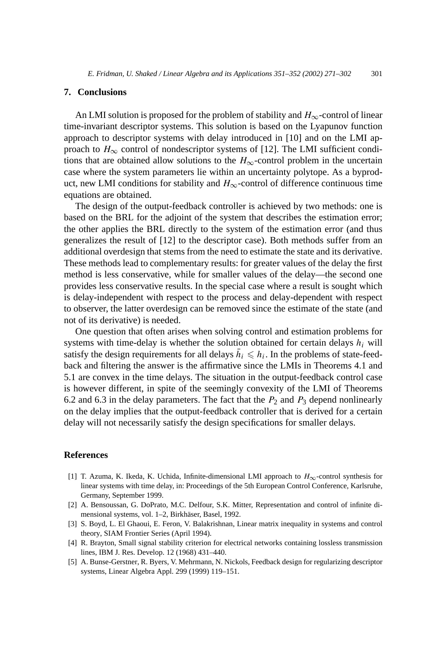## **7. Conclusions**

An LMI solution is proposed for the problem of stability and  $H_{\infty}$ -control of linear time-invariant descriptor systems. This solution is based on the Lyapunov function approach to descriptor systems with delay introduced in [10] and on the LMI approach to  $H_{\infty}$  control of nondescriptor systems of [12]. The LMI sufficient conditions that are obtained allow solutions to the  $H_{\infty}$ -control problem in the uncertain case where the system parameters lie within an uncertainty polytope. As a byproduct, new LMI conditions for stability and  $H_{\infty}$ -control of difference continuous time equations are obtained.

The design of the output-feedback controller is achieved by two methods: one is based on the BRL for the adjoint of the system that describes the estimation error; the other applies the BRL directly to the system of the estimation error (and thus generalizes the result of [12] to the descriptor case). Both methods suffer from an additional overdesign that stems from the need to estimate the state and its derivative. These methods lead to complementary results: for greater values of the delay the first method is less conservative, while for smaller values of the delay—the second one provides less conservative results. In the special case where a result is sought which is delay-independent with respect to the process and delay-dependent with respect to observer, the latter overdesign can be removed since the estimate of the state (and not of its derivative) is needed.

One question that often arises when solving control and estimation problems for systems with time-delay is whether the solution obtained for certain delays  $h_i$  will satisfy the design requirements for all delays  $\bar{h}_i \leq h_i$ . In the problems of state-feedback and filtering the answer is the affirmative since the LMIs in Theorems 4.1 and 5.1 are convex in the time delays. The situation in the output-feedback control case is however different, in spite of the seemingly convexity of the LMI of Theorems 6.2 and 6.3 in the delay parameters. The fact that the  $P_2$  and  $P_3$  depend nonlinearly on the delay implies that the output-feedback controller that is derived for a certain delay will not necessarily satisfy the design specifications for smaller delays.

## **References**

- [1] T. Azuma, K. Ikeda, K. Uchida, Infinite-dimensional LMI approach to *H*∞-control synthesis for linear systems with time delay, in: Proceedings of the 5th European Control Conference, Karlsruhe, Germany, September 1999.
- [2] A. Bensoussan, G. DoPrato, M.C. Delfour, S.K. Mitter, Representation and control of infinite dimensional systems, vol. 1–2, Birkhäser, Basel, 1992.
- [3] S. Boyd, L. El Ghaoui, E. Feron, V. Balakrishnan, Linear matrix inequality in systems and control theory, SIAM Frontier Series (April 1994).
- [4] R. Brayton, Small signal stability criterion for electrical networks containing lossless transmission lines, IBM J. Res. Develop. 12 (1968) 431–440.
- [5] A. Bunse-Gerstner, R. Byers, V. Mehrmann, N. Nickols, Feedback design for regularizing descriptor systems, Linear Algebra Appl. 299 (1999) 119–151.